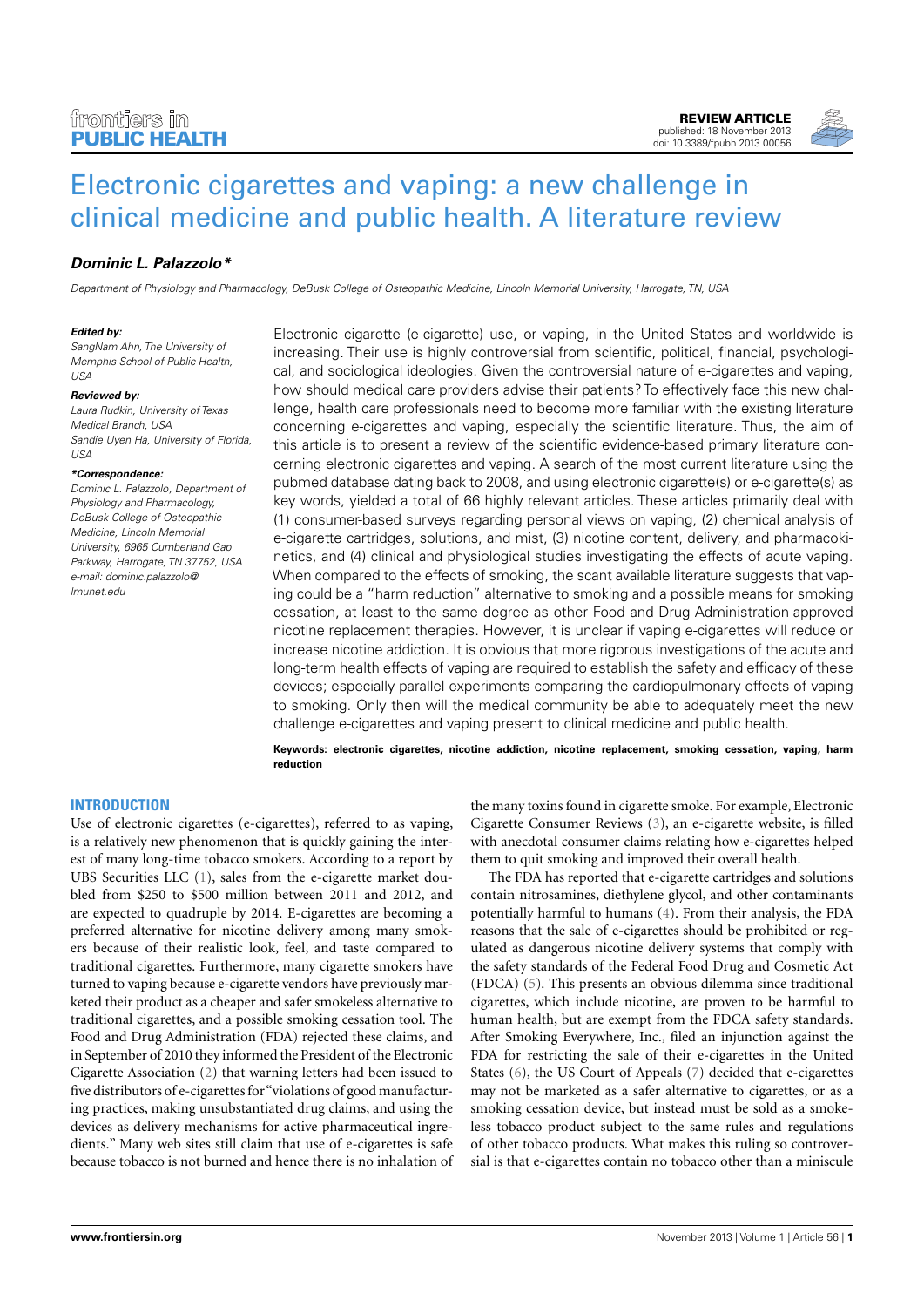

# [Electronic cigarettes and vaping: a new challenge in](http://www.frontiersin.org/Journal/10.3389/fpubh.2013.00056/abstract) [clinical medicine and public health. A literature review](http://www.frontiersin.org/Journal/10.3389/fpubh.2013.00056/abstract)

# **[Dominic L. Palazzolo\\*](http://www.frontiersin.org/people/u/105331)**

Department of Physiology and Pharmacology, DeBusk College of Osteopathic Medicine, Lincoln Memorial University, Harrogate, TN, USA

#### **Edited by:**

SangNam Ahn, The University of Memphis School of Public Health, USA

#### **Reviewed by:**

Laura Rudkin, University of Texas Medical Branch, USA Sandie Uyen Ha, University of Florida, USA

#### **\*Correspondence:**

Dominic L. Palazzolo, Department of Physiology and Pharmacology, DeBusk College of Osteopathic Medicine, Lincoln Memorial University, 6965 Cumberland Gap Parkway, Harrogate, TN 37752, USA e-mail: [dominic.palazzolo@](mailto:dominic.palazzolo@lmunet.edu) [lmunet.edu](mailto:dominic.palazzolo@lmunet.edu)

Electronic cigarette (e-cigarette) use, or vaping, in the United States and worldwide is increasing. Their use is highly controversial from scientific, political, financial, psychological, and sociological ideologies. Given the controversial nature of e-cigarettes and vaping, how should medical care providers advise their patients? To effectively face this new challenge, health care professionals need to become more familiar with the existing literature concerning e-cigarettes and vaping, especially the scientific literature. Thus, the aim of this article is to present a review of the scientific evidence-based primary literature concerning electronic cigarettes and vaping. A search of the most current literature using the pubmed database dating back to 2008, and using electronic cigarette(s) or e-cigarette(s) as key words, yielded a total of 66 highly relevant articles. These articles primarily deal with (1) consumer-based surveys regarding personal views on vaping, (2) chemical analysis of e-cigarette cartridges, solutions, and mist, (3) nicotine content, delivery, and pharmacokinetics, and (4) clinical and physiological studies investigating the effects of acute vaping. When compared to the effects of smoking, the scant available literature suggests that vaping could be a "harm reduction" alternative to smoking and a possible means for smoking cessation, at least to the same degree as other Food and Drug Administration-approved nicotine replacement therapies. However, it is unclear if vaping e-cigarettes will reduce or increase nicotine addiction. It is obvious that more rigorous investigations of the acute and long-term health effects of vaping are required to establish the safety and efficacy of these devices; especially parallel experiments comparing the cardiopulmonary effects of vaping to smoking. Only then will the medical community be able to adequately meet the new challenge e-cigarettes and vaping present to clinical medicine and public health.

**Keywords: electronic cigarettes, nicotine addiction, nicotine replacement, smoking cessation, vaping, harm reduction**

## **INTRODUCTION**

Use of electronic cigarettes (e-cigarettes), referred to as vaping, is a relatively new phenomenon that is quickly gaining the interest of many long-time tobacco smokers. According to a report by UBS Securities LLC [\(1\)](#page-16-0), sales from the e-cigarette market doubled from \$250 to \$500 million between 2011 and 2012, and are expected to quadruple by 2014. E-cigarettes are becoming a preferred alternative for nicotine delivery among many smokers because of their realistic look, feel, and taste compared to traditional cigarettes. Furthermore, many cigarette smokers have turned to vaping because e-cigarette vendors have previously marketed their product as a cheaper and safer smokeless alternative to traditional cigarettes, and a possible smoking cessation tool. The Food and Drug Administration (FDA) rejected these claims, and in September of 2010 they informed the President of the Electronic Cigarette Association [\(2\)](#page-16-1) that warning letters had been issued to five distributors of e-cigarettes for "violations of good manufacturing practices, making unsubstantiated drug claims, and using the devices as delivery mechanisms for active pharmaceutical ingredients." Many web sites still claim that use of e-cigarettes is safe because tobacco is not burned and hence there is no inhalation of

the many toxins found in cigarette smoke. For example, Electronic Cigarette Consumer Reviews [\(3\)](#page-16-2), an e-cigarette website, is filled with anecdotal consumer claims relating how e-cigarettes helped them to quit smoking and improved their overall health.

The FDA has reported that e-cigarette cartridges and solutions contain nitrosamines, diethylene glycol, and other contaminants potentially harmful to humans [\(4\)](#page-16-3). From their analysis, the FDA reasons that the sale of e-cigarettes should be prohibited or regulated as dangerous nicotine delivery systems that comply with the safety standards of the Federal Food Drug and Cosmetic Act (FDCA) [\(5\)](#page-16-4). This presents an obvious dilemma since traditional cigarettes, which include nicotine, are proven to be harmful to human health, but are exempt from the FDCA safety standards. After Smoking Everywhere, Inc., filed an injunction against the FDA for restricting the sale of their e-cigarettes in the United States [\(6\)](#page-16-5), the US Court of Appeals [\(7\)](#page-16-6) decided that e-cigarettes may not be marketed as a safer alternative to cigarettes, or as a smoking cessation device, but instead must be sold as a smokeless tobacco product subject to the same rules and regulations of other tobacco products. What makes this ruling so controversial is that e-cigarettes contain no tobacco other than a miniscule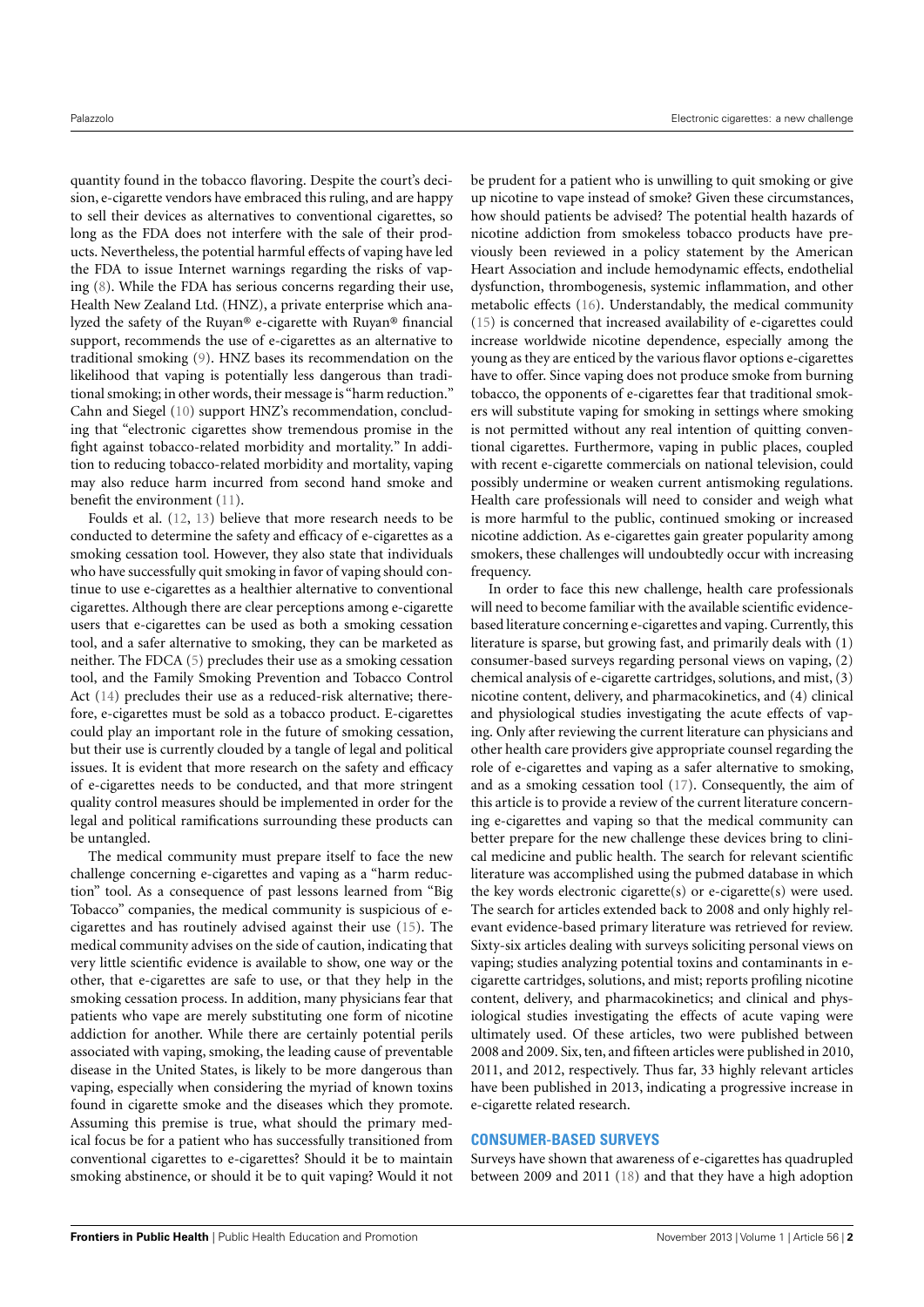quantity found in the tobacco flavoring. Despite the court's decision, e-cigarette vendors have embraced this ruling, and are happy to sell their devices as alternatives to conventional cigarettes, so long as the FDA does not interfere with the sale of their products. Nevertheless, the potential harmful effects of vaping have led the FDA to issue Internet warnings regarding the risks of vaping [\(8\)](#page-16-7). While the FDA has serious concerns regarding their use, Health New Zealand Ltd. (HNZ), a private enterprise which analyzed the safety of the Ruyan® e-cigarette with Ruyan® financial support, recommends the use of e-cigarettes as an alternative to traditional smoking [\(9\)](#page-16-8). HNZ bases its recommendation on the likelihood that vaping is potentially less dangerous than traditional smoking; in other words, their message is "harm reduction." Cahn and Siegel [\(10\)](#page-16-9) support HNZ's recommendation, concluding that "electronic cigarettes show tremendous promise in the fight against tobacco-related morbidity and mortality." In addition to reducing tobacco-related morbidity and mortality, vaping may also reduce harm incurred from second hand smoke and benefit the environment [\(11\)](#page-16-10).

Foulds et al. [\(12,](#page-16-11) [13\)](#page-16-12) believe that more research needs to be conducted to determine the safety and efficacy of e-cigarettes as a smoking cessation tool. However, they also state that individuals who have successfully quit smoking in favor of vaping should continue to use e-cigarettes as a healthier alternative to conventional cigarettes. Although there are clear perceptions among e-cigarette users that e-cigarettes can be used as both a smoking cessation tool, and a safer alternative to smoking, they can be marketed as neither. The FDCA [\(5\)](#page-16-4) precludes their use as a smoking cessation tool, and the Family Smoking Prevention and Tobacco Control Act [\(14\)](#page-16-13) precludes their use as a reduced-risk alternative; therefore, e-cigarettes must be sold as a tobacco product. E-cigarettes could play an important role in the future of smoking cessation, but their use is currently clouded by a tangle of legal and political issues. It is evident that more research on the safety and efficacy of e-cigarettes needs to be conducted, and that more stringent quality control measures should be implemented in order for the legal and political ramifications surrounding these products can be untangled.

The medical community must prepare itself to face the new challenge concerning e-cigarettes and vaping as a "harm reduction" tool. As a consequence of past lessons learned from "Big Tobacco" companies, the medical community is suspicious of ecigarettes and has routinely advised against their use [\(15\)](#page-16-14). The medical community advises on the side of caution, indicating that very little scientific evidence is available to show, one way or the other, that e-cigarettes are safe to use, or that they help in the smoking cessation process. In addition, many physicians fear that patients who vape are merely substituting one form of nicotine addiction for another. While there are certainly potential perils associated with vaping, smoking, the leading cause of preventable disease in the United States, is likely to be more dangerous than vaping, especially when considering the myriad of known toxins found in cigarette smoke and the diseases which they promote. Assuming this premise is true, what should the primary medical focus be for a patient who has successfully transitioned from conventional cigarettes to e-cigarettes? Should it be to maintain smoking abstinence, or should it be to quit vaping? Would it not

be prudent for a patient who is unwilling to quit smoking or give up nicotine to vape instead of smoke? Given these circumstances, how should patients be advised? The potential health hazards of nicotine addiction from smokeless tobacco products have previously been reviewed in a policy statement by the American Heart Association and include hemodynamic effects, endothelial dysfunction, thrombogenesis, systemic inflammation, and other metabolic effects [\(16\)](#page-16-15). Understandably, the medical community [\(15\)](#page-16-14) is concerned that increased availability of e-cigarettes could increase worldwide nicotine dependence, especially among the young as they are enticed by the various flavor options e-cigarettes have to offer. Since vaping does not produce smoke from burning tobacco, the opponents of e-cigarettes fear that traditional smokers will substitute vaping for smoking in settings where smoking is not permitted without any real intention of quitting conventional cigarettes. Furthermore, vaping in public places, coupled with recent e-cigarette commercials on national television, could possibly undermine or weaken current antismoking regulations. Health care professionals will need to consider and weigh what is more harmful to the public, continued smoking or increased nicotine addiction. As e-cigarettes gain greater popularity among smokers, these challenges will undoubtedly occur with increasing frequency.

In order to face this new challenge, health care professionals will need to become familiar with the available scientific evidencebased literature concerning e-cigarettes and vaping. Currently, this literature is sparse, but growing fast, and primarily deals with (1) consumer-based surveys regarding personal views on vaping, (2) chemical analysis of e-cigarette cartridges, solutions, and mist, (3) nicotine content, delivery, and pharmacokinetics, and (4) clinical and physiological studies investigating the acute effects of vaping. Only after reviewing the current literature can physicians and other health care providers give appropriate counsel regarding the role of e-cigarettes and vaping as a safer alternative to smoking, and as a smoking cessation tool [\(17\)](#page-16-16). Consequently, the aim of this article is to provide a review of the current literature concerning e-cigarettes and vaping so that the medical community can better prepare for the new challenge these devices bring to clinical medicine and public health. The search for relevant scientific literature was accomplished using the pubmed database in which the key words electronic cigarette(s) or e-cigarette(s) were used. The search for articles extended back to 2008 and only highly relevant evidence-based primary literature was retrieved for review. Sixty-six articles dealing with surveys soliciting personal views on vaping; studies analyzing potential toxins and contaminants in ecigarette cartridges, solutions, and mist; reports profiling nicotine content, delivery, and pharmacokinetics; and clinical and physiological studies investigating the effects of acute vaping were ultimately used. Of these articles, two were published between 2008 and 2009. Six, ten, and fifteen articles were published in 2010, 2011, and 2012, respectively. Thus far, 33 highly relevant articles have been published in 2013, indicating a progressive increase in e-cigarette related research.

## **CONSUMER-BASED SURVEYS**

Surveys have shown that awareness of e-cigarettes has quadrupled between 2009 and 2011 [\(18\)](#page-16-17) and that they have a high adoption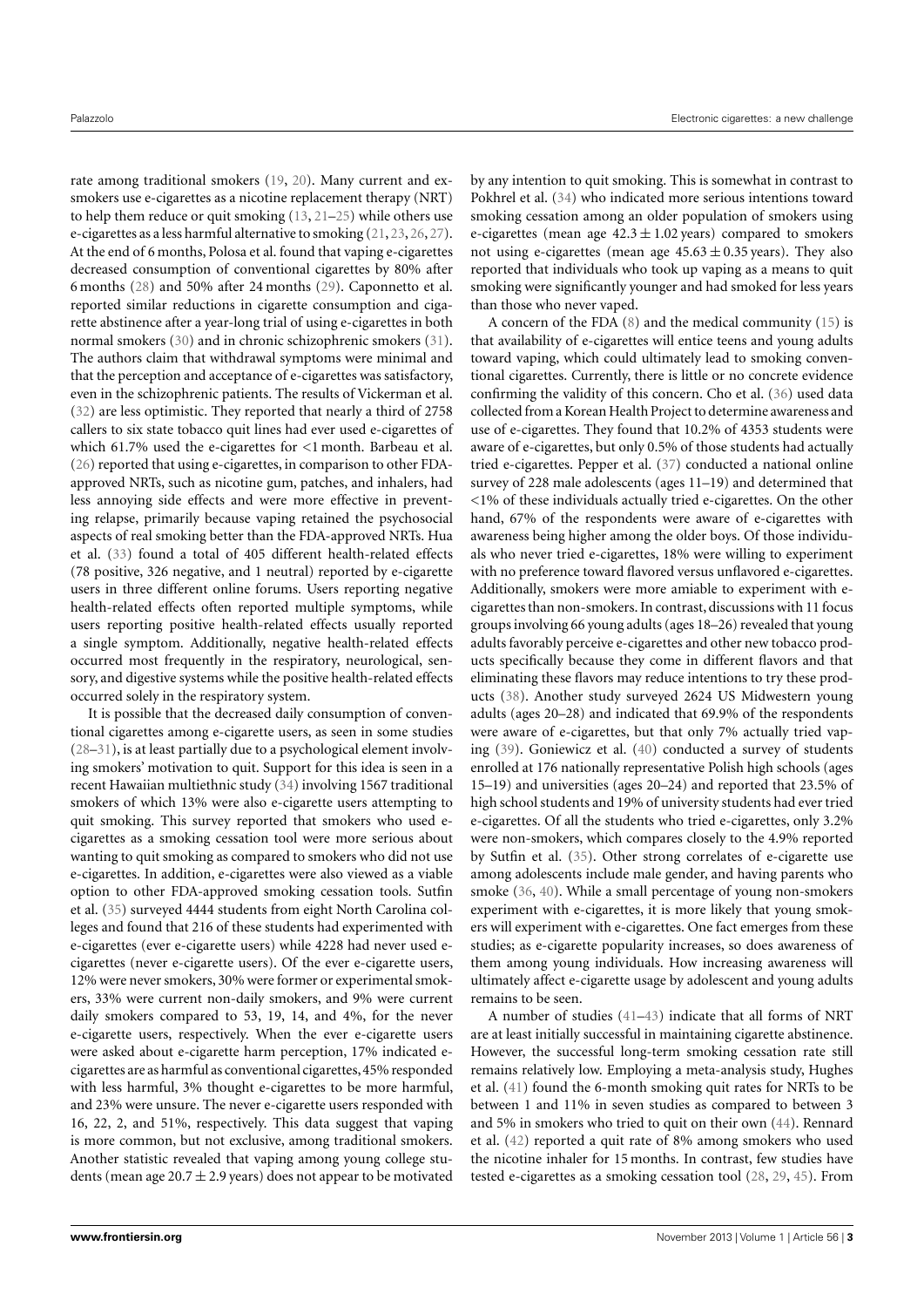rate among traditional smokers [\(19,](#page-16-18) [20\)](#page-16-19). Many current and exsmokers use e-cigarettes as a nicotine replacement therapy (NRT) to help them reduce or quit smoking [\(13,](#page-16-12) [21](#page-17-0)[–25\)](#page-17-1) while others use e-cigarettes as a less harmful alternative to smoking [\(21,](#page-17-0) [23,](#page-17-2) [26,](#page-17-3) [27\)](#page-17-4). At the end of 6 months, Polosa et al. found that vaping e-cigarettes decreased consumption of conventional cigarettes by 80% after 6 months [\(28\)](#page-17-5) and 50% after 24 months [\(29\)](#page-17-6). Caponnetto et al. reported similar reductions in cigarette consumption and cigarette abstinence after a year-long trial of using e-cigarettes in both normal smokers [\(30\)](#page-17-7) and in chronic schizophrenic smokers [\(31\)](#page-17-8). The authors claim that withdrawal symptoms were minimal and that the perception and acceptance of e-cigarettes was satisfactory, even in the schizophrenic patients. The results of Vickerman et al. [\(32\)](#page-17-9) are less optimistic. They reported that nearly a third of 2758 callers to six state tobacco quit lines had ever used e-cigarettes of which 61.7% used the e-cigarettes for <1 month. Barbeau et al. [\(26\)](#page-17-3) reported that using e-cigarettes, in comparison to other FDAapproved NRTs, such as nicotine gum, patches, and inhalers, had less annoying side effects and were more effective in preventing relapse, primarily because vaping retained the psychosocial aspects of real smoking better than the FDA-approved NRTs. Hua et al. [\(33\)](#page-17-10) found a total of 405 different health-related effects (78 positive, 326 negative, and 1 neutral) reported by e-cigarette users in three different online forums. Users reporting negative health-related effects often reported multiple symptoms, while users reporting positive health-related effects usually reported a single symptom. Additionally, negative health-related effects occurred most frequently in the respiratory, neurological, sensory, and digestive systems while the positive health-related effects occurred solely in the respiratory system.

It is possible that the decreased daily consumption of conventional cigarettes among e-cigarette users, as seen in some studies [\(28–](#page-17-5)[31\)](#page-17-8), is at least partially due to a psychological element involving smokers' motivation to quit. Support for this idea is seen in a recent Hawaiian multiethnic study [\(34\)](#page-17-11) involving 1567 traditional smokers of which 13% were also e-cigarette users attempting to quit smoking. This survey reported that smokers who used ecigarettes as a smoking cessation tool were more serious about wanting to quit smoking as compared to smokers who did not use e-cigarettes. In addition, e-cigarettes were also viewed as a viable option to other FDA-approved smoking cessation tools. Sutfin et al. [\(35\)](#page-17-12) surveyed 4444 students from eight North Carolina colleges and found that 216 of these students had experimented with e-cigarettes (ever e-cigarette users) while 4228 had never used ecigarettes (never e-cigarette users). Of the ever e-cigarette users, 12% were never smokers, 30% were former or experimental smokers, 33% were current non-daily smokers, and 9% were current daily smokers compared to 53, 19, 14, and 4%, for the never e-cigarette users, respectively. When the ever e-cigarette users were asked about e-cigarette harm perception, 17% indicated ecigarettes are as harmful as conventional cigarettes,45% responded with less harmful, 3% thought e-cigarettes to be more harmful, and 23% were unsure. The never e-cigarette users responded with 16, 22, 2, and 51%, respectively. This data suggest that vaping is more common, but not exclusive, among traditional smokers. Another statistic revealed that vaping among young college students (mean age  $20.7 \pm 2.9$  years) does not appear to be motivated

by any intention to quit smoking. This is somewhat in contrast to Pokhrel et al. [\(34\)](#page-17-11) who indicated more serious intentions toward smoking cessation among an older population of smokers using e-cigarettes (mean age  $42.3 \pm 1.02$  years) compared to smokers not using e-cigarettes (mean age  $45.63 \pm 0.35$  years). They also reported that individuals who took up vaping as a means to quit smoking were significantly younger and had smoked for less years than those who never vaped.

A concern of the FDA [\(8\)](#page-16-7) and the medical community [\(15\)](#page-16-14) is that availability of e-cigarettes will entice teens and young adults toward vaping, which could ultimately lead to smoking conventional cigarettes. Currently, there is little or no concrete evidence confirming the validity of this concern. Cho et al. [\(36\)](#page-17-13) used data collected from a Korean Health Project to determine awareness and use of e-cigarettes. They found that 10.2% of 4353 students were aware of e-cigarettes, but only 0.5% of those students had actually tried e-cigarettes. Pepper et al. [\(37\)](#page-17-14) conducted a national online survey of 228 male adolescents (ages 11–19) and determined that <1% of these individuals actually tried e-cigarettes. On the other hand, 67% of the respondents were aware of e-cigarettes with awareness being higher among the older boys. Of those individuals who never tried e-cigarettes, 18% were willing to experiment with no preference toward flavored versus unflavored e-cigarettes. Additionally, smokers were more amiable to experiment with ecigarettes than non-smokers. In contrast, discussions with 11 focus groups involving 66 young adults (ages 18–26) revealed that young adults favorably perceive e-cigarettes and other new tobacco products specifically because they come in different flavors and that eliminating these flavors may reduce intentions to try these products [\(38\)](#page-17-15). Another study surveyed 2624 US Midwestern young adults (ages 20–28) and indicated that 69.9% of the respondents were aware of e-cigarettes, but that only 7% actually tried vaping [\(39\)](#page-17-16). Goniewicz et al. [\(40\)](#page-17-17) conducted a survey of students enrolled at 176 nationally representative Polish high schools (ages 15–19) and universities (ages 20–24) and reported that 23.5% of high school students and 19% of university students had ever tried e-cigarettes. Of all the students who tried e-cigarettes, only 3.2% were non-smokers, which compares closely to the 4.9% reported by Sutfin et al. [\(35\)](#page-17-12). Other strong correlates of e-cigarette use among adolescents include male gender, and having parents who smoke [\(36,](#page-17-13) [40\)](#page-17-17). While a small percentage of young non-smokers experiment with e-cigarettes, it is more likely that young smokers will experiment with e-cigarettes. One fact emerges from these studies; as e-cigarette popularity increases, so does awareness of them among young individuals. How increasing awareness will ultimately affect e-cigarette usage by adolescent and young adults remains to be seen.

A number of studies [\(41](#page-17-18)[–43\)](#page-17-19) indicate that all forms of NRT are at least initially successful in maintaining cigarette abstinence. However, the successful long-term smoking cessation rate still remains relatively low. Employing a meta-analysis study, Hughes et al. [\(41\)](#page-17-18) found the 6-month smoking quit rates for NRTs to be between 1 and 11% in seven studies as compared to between 3 and 5% in smokers who tried to quit on their own [\(44\)](#page-17-20). Rennard et al. [\(42\)](#page-17-21) reported a quit rate of 8% among smokers who used the nicotine inhaler for 15 months. In contrast, few studies have tested e-cigarettes as a smoking cessation tool [\(28,](#page-17-5) [29,](#page-17-6) [45\)](#page-17-22). From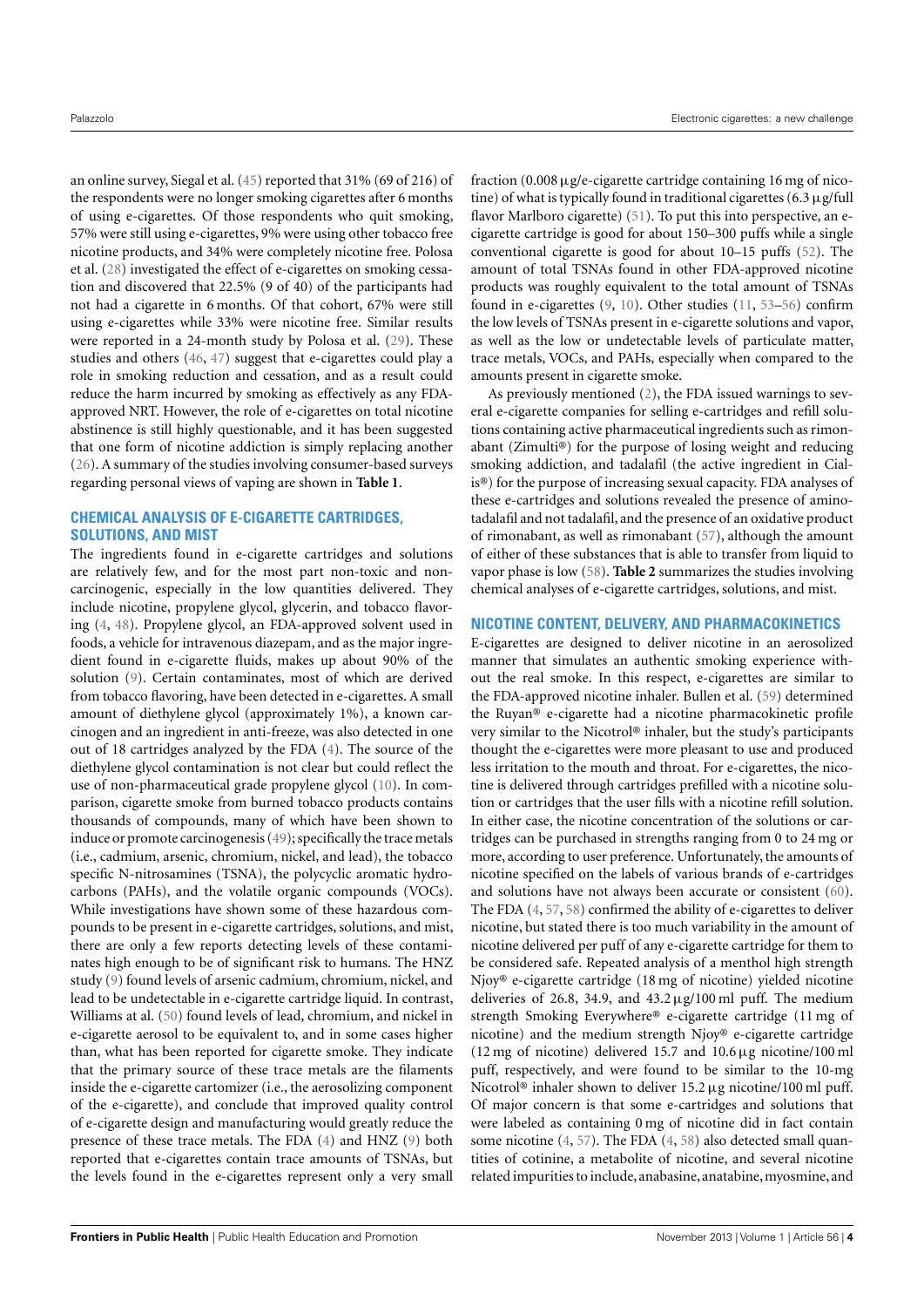an online survey, Siegal et al. [\(45\)](#page-17-22) reported that 31% (69 of 216) of the respondents were no longer smoking cigarettes after 6 months of using e-cigarettes. Of those respondents who quit smoking, 57% were still using e-cigarettes, 9% were using other tobacco free nicotine products, and 34% were completely nicotine free. Polosa et al. [\(28\)](#page-17-5) investigated the effect of e-cigarettes on smoking cessation and discovered that 22.5% (9 of 40) of the participants had not had a cigarette in 6 months. Of that cohort, 67% were still using e-cigarettes while 33% were nicotine free. Similar results were reported in a 24-month study by Polosa et al. [\(29\)](#page-17-6). These studies and others [\(46,](#page-17-23) [47\)](#page-17-24) suggest that e-cigarettes could play a role in smoking reduction and cessation, and as a result could reduce the harm incurred by smoking as effectively as any FDAapproved NRT. However, the role of e-cigarettes on total nicotine abstinence is still highly questionable, and it has been suggested that one form of nicotine addiction is simply replacing another [\(26\)](#page-17-3). A summary of the studies involving consumer-based surveys regarding personal views of vaping are shown in **[Table 1](#page-4-0)**.

## **CHEMICAL ANALYSIS OF E-CIGARETTE CARTRIDGES, SOLUTIONS, AND MIST**

The ingredients found in e-cigarette cartridges and solutions are relatively few, and for the most part non-toxic and noncarcinogenic, especially in the low quantities delivered. They include nicotine, propylene glycol, glycerin, and tobacco flavoring [\(4,](#page-16-3) [48\)](#page-17-25). Propylene glycol, an FDA-approved solvent used in foods, a vehicle for intravenous diazepam, and as the major ingredient found in e-cigarette fluids, makes up about 90% of the solution [\(9\)](#page-16-8). Certain contaminates, most of which are derived from tobacco flavoring, have been detected in e-cigarettes. A small amount of diethylene glycol (approximately 1%), a known carcinogen and an ingredient in anti-freeze, was also detected in one out of 18 cartridges analyzed by the FDA [\(4\)](#page-16-3). The source of the diethylene glycol contamination is not clear but could reflect the use of non-pharmaceutical grade propylene glycol [\(10\)](#page-16-9). In comparison, cigarette smoke from burned tobacco products contains thousands of compounds, many of which have been shown to induce or promote carcinogenesis [\(49\)](#page-17-26); specifically the trace metals (i.e., cadmium, arsenic, chromium, nickel, and lead), the tobacco specific N-nitrosamines (TSNA), the polycyclic aromatic hydrocarbons (PAHs), and the volatile organic compounds (VOCs). While investigations have shown some of these hazardous compounds to be present in e-cigarette cartridges, solutions, and mist, there are only a few reports detecting levels of these contaminates high enough to be of significant risk to humans. The HNZ study [\(9\)](#page-16-8) found levels of arsenic cadmium, chromium, nickel, and lead to be undetectable in e-cigarette cartridge liquid. In contrast, Williams at al. [\(50\)](#page-17-27) found levels of lead, chromium, and nickel in e-cigarette aerosol to be equivalent to, and in some cases higher than, what has been reported for cigarette smoke. They indicate that the primary source of these trace metals are the filaments inside the e-cigarette cartomizer (i.e., the aerosolizing component of the e-cigarette), and conclude that improved quality control of e-cigarette design and manufacturing would greatly reduce the presence of these trace metals. The FDA [\(4\)](#page-16-3) and HNZ [\(9\)](#page-16-8) both reported that e-cigarettes contain trace amounts of TSNAs, but the levels found in the e-cigarettes represent only a very small

fraction  $(0.008 \mu g/e$ -cigarette cartridge containing 16 mg of nicotine) of what is typically found in traditional cigarettes  $(6.3 \mu g$ /full flavor Marlboro cigarette) [\(51\)](#page-17-28). To put this into perspective, an ecigarette cartridge is good for about 150–300 puffs while a single conventional cigarette is good for about 10–15 puffs [\(52\)](#page-17-29). The amount of total TSNAs found in other FDA-approved nicotine products was roughly equivalent to the total amount of TSNAs found in e-cigarettes [\(9,](#page-16-8) [10\)](#page-16-9). Other studies [\(11,](#page-16-10) [53–](#page-17-30)[56\)](#page-17-31) confirm the low levels of TSNAs present in e-cigarette solutions and vapor, as well as the low or undetectable levels of particulate matter, trace metals, VOCs, and PAHs, especially when compared to the amounts present in cigarette smoke.

As previously mentioned [\(2\)](#page-16-1), the FDA issued warnings to several e-cigarette companies for selling e-cartridges and refill solutions containing active pharmaceutical ingredients such as rimonabant (Zimulti®) for the purpose of losing weight and reducing smoking addiction, and tadalafil (the active ingredient in Cialis®) for the purpose of increasing sexual capacity. FDA analyses of these e-cartridges and solutions revealed the presence of aminotadalafil and not tadalafil, and the presence of an oxidative product of rimonabant, as well as rimonabant [\(57\)](#page-17-32), although the amount of either of these substances that is able to transfer from liquid to vapor phase is low [\(58\)](#page-17-33). **[Table 2](#page-8-0)** summarizes the studies involving chemical analyses of e-cigarette cartridges, solutions, and mist.

## **NICOTINE CONTENT, DELIVERY, AND PHARMACOKINETICS**

E-cigarettes are designed to deliver nicotine in an aerosolized manner that simulates an authentic smoking experience without the real smoke. In this respect, e-cigarettes are similar to the FDA-approved nicotine inhaler. Bullen et al. [\(59\)](#page-17-34) determined the Ruyan® e-cigarette had a nicotine pharmacokinetic profile very similar to the Nicotrol® inhaler, but the study's participants thought the e-cigarettes were more pleasant to use and produced less irritation to the mouth and throat. For e-cigarettes, the nicotine is delivered through cartridges prefilled with a nicotine solution or cartridges that the user fills with a nicotine refill solution. In either case, the nicotine concentration of the solutions or cartridges can be purchased in strengths ranging from 0 to 24 mg or more, according to user preference. Unfortunately, the amounts of nicotine specified on the labels of various brands of e-cartridges and solutions have not always been accurate or consistent [\(60\)](#page-17-35). The FDA [\(4,](#page-16-3) [57,](#page-17-32) [58\)](#page-17-33) confirmed the ability of e-cigarettes to deliver nicotine, but stated there is too much variability in the amount of nicotine delivered per puff of any e-cigarette cartridge for them to be considered safe. Repeated analysis of a menthol high strength Njoy® e-cigarette cartridge (18 mg of nicotine) yielded nicotine deliveries of 26.8, 34.9, and  $43.2 \mu$ g/100 ml puff. The medium strength Smoking Everywhere® e-cigarette cartridge (11 mg of nicotine) and the medium strength Njoy® e-cigarette cartridge (12 mg of nicotine) delivered 15.7 and  $10.6 \,\mu$ g nicotine/100 ml puff, respectively, and were found to be similar to the 10-mg Nicotrol<sup>®</sup> inhaler shown to deliver  $15.2 \mu$ g nicotine/100 ml puff. Of major concern is that some e-cartridges and solutions that were labeled as containing 0 mg of nicotine did in fact contain some nicotine [\(4,](#page-16-3) [57\)](#page-17-32). The FDA [\(4,](#page-16-3) [58\)](#page-17-33) also detected small quantities of cotinine, a metabolite of nicotine, and several nicotine related impurities to include, anabasine, anatabine, myosmine, and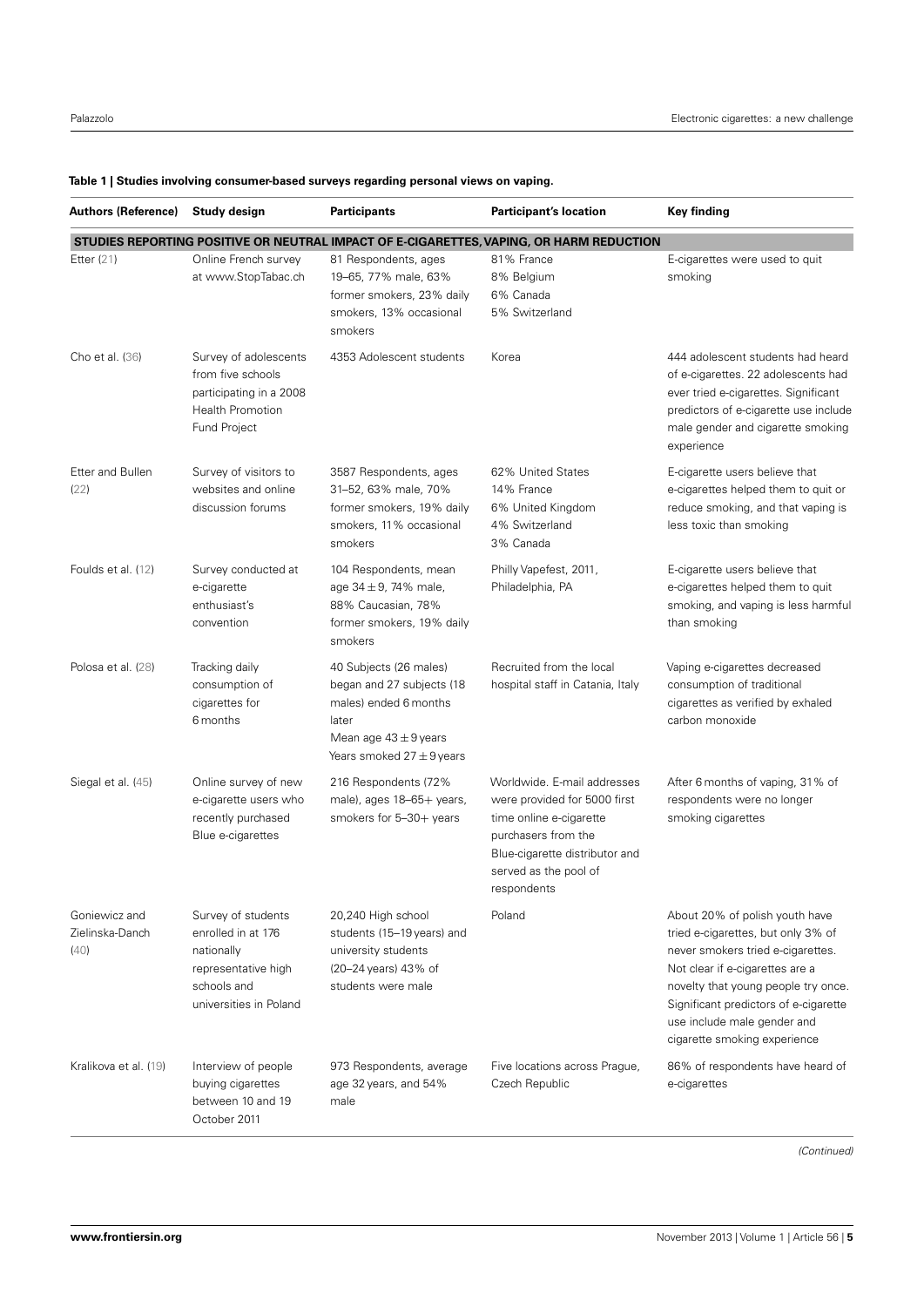| <b>Authors (Reference)</b>               | Study design                                                                                                            | <b>Participants</b>                                                                                                                                 | <b>Participant's location</b>                                                                                                                                                           | <b>Key finding</b>                                                                                                                                                                                                                                                                          |
|------------------------------------------|-------------------------------------------------------------------------------------------------------------------------|-----------------------------------------------------------------------------------------------------------------------------------------------------|-----------------------------------------------------------------------------------------------------------------------------------------------------------------------------------------|---------------------------------------------------------------------------------------------------------------------------------------------------------------------------------------------------------------------------------------------------------------------------------------------|
|                                          |                                                                                                                         |                                                                                                                                                     | STUDIES REPORTING POSITIVE OR NEUTRAL IMPACT OF E-CIGARETTES, VAPING, OR HARM REDUCTION                                                                                                 |                                                                                                                                                                                                                                                                                             |
| Etter (21)                               | Online French survey<br>at www.StopTabac.ch                                                                             | 81 Respondents, ages<br>19-65, 77% male, 63%<br>former smokers, 23% daily<br>smokers, 13% occasional<br>smokers                                     | 81% France<br>8% Belgium<br>6% Canada<br>5% Switzerland                                                                                                                                 | E-cigarettes were used to quit<br>smoking                                                                                                                                                                                                                                                   |
| Cho et al. (36)                          | Survey of adolescents<br>from five schools<br>participating in a 2008<br><b>Health Promotion</b><br><b>Fund Project</b> | 4353 Adolescent students                                                                                                                            | Korea                                                                                                                                                                                   | 444 adolescent students had heard<br>of e-cigarettes. 22 adolescents had<br>ever tried e-cigarettes. Significant<br>predictors of e-cigarette use include<br>male gender and cigarette smoking<br>experience                                                                                |
| Etter and Bullen<br>(22)                 | Survey of visitors to<br>websites and online<br>discussion forums                                                       | 3587 Respondents, ages<br>31-52, 63% male, 70%<br>former smokers, 19% daily<br>smokers, 11% occasional<br>smokers                                   | 62% United States<br>14% France<br>6% United Kingdom<br>4% Switzerland<br>3% Canada                                                                                                     | E-cigarette users believe that<br>e-cigarettes helped them to quit or<br>reduce smoking, and that vaping is<br>less toxic than smoking                                                                                                                                                      |
| Foulds et al. (12)                       | Survey conducted at<br>e-cigarette<br>enthusiast's<br>convention                                                        | 104 Respondents, mean<br>age $34 \pm 9$ , 74% male,<br>88% Caucasian, 78%<br>former smokers, 19% daily<br>smokers                                   | Philly Vapefest, 2011,<br>Philadelphia, PA                                                                                                                                              | E-cigarette users believe that<br>e-cigarettes helped them to quit<br>smoking, and vaping is less harmful<br>than smoking                                                                                                                                                                   |
| Polosa et al. (28)                       | Tracking daily<br>consumption of<br>cigarettes for<br>6 months                                                          | 40 Subjects (26 males)<br>began and 27 subjects (18<br>males) ended 6 months<br>later<br>Mean age $43 \pm 9$ years<br>Years smoked $27 \pm 9$ years | Recruited from the local<br>hospital staff in Catania, Italy                                                                                                                            | Vaping e-cigarettes decreased<br>consumption of traditional<br>cigarettes as verified by exhaled<br>carbon monoxide                                                                                                                                                                         |
| Siegal et al. (45)                       | Online survey of new<br>e-cigarette users who<br>recently purchased<br>Blue e-cigarettes                                | 216 Respondents (72%<br>male), ages 18-65+ years,<br>smokers for 5-30+ years                                                                        | Worldwide, E-mail addresses<br>were provided for 5000 first<br>time online e-cigarette<br>purchasers from the<br>Blue-cigarette distributor and<br>served as the pool of<br>respondents | After 6 months of vaping, 31% of<br>respondents were no longer<br>smoking cigarettes                                                                                                                                                                                                        |
| Goniewicz and<br>Zielinska-Danch<br>(40) | Survey of students<br>enrolled in at 176<br>nationally<br>representative high<br>schools and<br>universities in Poland  | 20,240 High school<br>students (15-19 years) and<br>university students<br>(20-24 years) 43% of<br>students were male                               | Poland                                                                                                                                                                                  | About 20% of polish youth have<br>tried e-cigarettes, but only 3% of<br>never smokers tried e-cigarettes.<br>Not clear if e-cigarettes are a<br>novelty that young people try once.<br>Significant predictors of e-cigarette<br>use include male gender and<br>cigarette smoking experience |
| Kralikova et al. (19)                    | Interview of people<br>buying cigarettes<br>between 10 and 19<br>October 2011                                           | 973 Respondents, average<br>age 32 years, and 54%<br>male                                                                                           | Five locations across Praque,<br>Czech Republic                                                                                                                                         | 86% of respondents have heard of<br>e-cigarettes                                                                                                                                                                                                                                            |

# <span id="page-4-0"></span>**Table 1 | Studies involving consumer-based surveys regarding personal views on vaping.**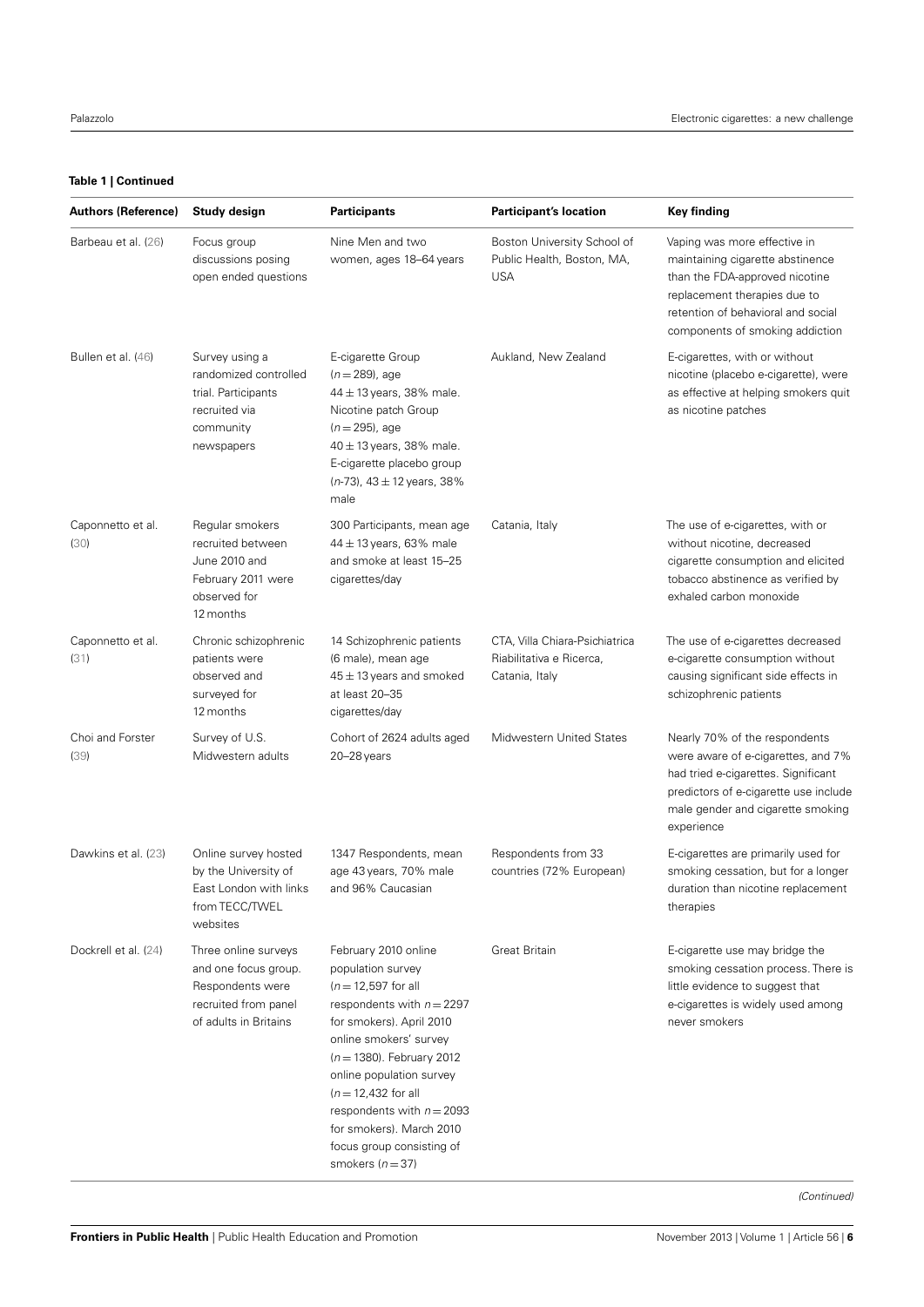| Table 1   Continued |
|---------------------|
|                     |

| <b>Authors (Reference)</b> | <b>Study design</b>                                                                                               | <b>Participants</b>                                                                                                                                                                                                                                                                                                                                         | <b>Participant's location</b>                                                | <b>Key finding</b>                                                                                                                                                                                          |
|----------------------------|-------------------------------------------------------------------------------------------------------------------|-------------------------------------------------------------------------------------------------------------------------------------------------------------------------------------------------------------------------------------------------------------------------------------------------------------------------------------------------------------|------------------------------------------------------------------------------|-------------------------------------------------------------------------------------------------------------------------------------------------------------------------------------------------------------|
| Barbeau et al. (26)        | Focus group<br>discussions posing<br>open ended questions                                                         | Nine Men and two<br>women, ages 18-64 years                                                                                                                                                                                                                                                                                                                 | Boston University School of<br>Public Health, Boston, MA,<br><b>USA</b>      | Vaping was more effective in<br>maintaining cigarette abstinence<br>than the FDA-approved nicotine<br>replacement therapies due to<br>retention of behavioral and social<br>components of smoking addiction |
| Bullen et al. (46)         | Survey using a<br>randomized controlled<br>trial. Participants<br>recruited via<br>community<br>newspapers        | E-cigarette Group<br>$(n = 289)$ , age<br>$44 \pm 13$ years, 38% male.<br>Nicotine patch Group<br>$(n = 295)$ , age<br>$40 \pm 13$ years, 38% male.<br>E-cigarette placebo group<br>$(n-73)$ , 43 $\pm$ 12 years, 38%<br>male                                                                                                                               | Aukland, New Zealand                                                         | E-cigarettes, with or without<br>nicotine (placebo e-cigarette), were<br>as effective at helping smokers quit<br>as nicotine patches                                                                        |
| Caponnetto et al.<br>(30)  | Regular smokers<br>recruited between<br>June 2010 and<br>February 2011 were<br>observed for<br>12 months          | 300 Participants, mean age<br>$44 \pm 13$ years, 63% male<br>and smoke at least 15-25<br>cigarettes/day                                                                                                                                                                                                                                                     | Catania, Italy                                                               | The use of e-cigarettes, with or<br>without nicotine, decreased<br>cigarette consumption and elicited<br>tobacco abstinence as verified by<br>exhaled carbon monoxide                                       |
| Caponnetto et al.<br>(31)  | Chronic schizophrenic<br>patients were<br>observed and<br>surveyed for<br>12 months                               | 14 Schizophrenic patients<br>(6 male), mean age<br>$45 \pm 13$ years and smoked<br>at least 20-35<br>cigarettes/day                                                                                                                                                                                                                                         | CTA, Villa Chiara-Psichiatrica<br>Riabilitativa e Ricerca,<br>Catania, Italy | The use of e-cigarettes decreased<br>e-cigarette consumption without<br>causing significant side effects in<br>schizophrenic patients                                                                       |
| Choi and Forster<br>(39)   | Survey of U.S.<br>Midwestern adults                                                                               | Cohort of 2624 adults aged<br>20-28 years                                                                                                                                                                                                                                                                                                                   | Midwestern United States                                                     | Nearly 70% of the respondents<br>were aware of e-cigarettes, and 7%<br>had tried e-cigarettes. Significant<br>predictors of e-cigarette use include<br>male gender and cigarette smoking<br>experience      |
| Dawkins et al. (23)        | Online survey hosted<br>by the University of<br>East London with links<br>from TECC/TWEL<br>websites              | 1347 Respondents, mean<br>age 43 years, 70% male<br>and 96% Caucasian                                                                                                                                                                                                                                                                                       | Respondents from 33<br>countries (72% European)                              | E-cigarettes are primarily used for<br>smoking cessation, but for a longer<br>duration than nicotine replacement<br>therapies                                                                               |
| Dockrell et al. (24)       | Three online surveys<br>and one focus group.<br>Respondents were<br>recruited from panel<br>of adults in Britains | February 2010 online<br>population survey<br>$(n = 12, 597)$ for all<br>respondents with $n = 2297$<br>for smokers). April 2010<br>online smokers' survey<br>$(n = 1380)$ . February 2012<br>online population survey<br>$(n = 12,432)$ for all<br>respondents with $n = 2093$<br>for smokers). March 2010<br>focus group consisting of<br>smokers $(n=37)$ | Great Britain                                                                | E-cigarette use may bridge the<br>smoking cessation process. There is<br>little evidence to suggest that<br>e-cigarettes is widely used among<br>never smokers                                              |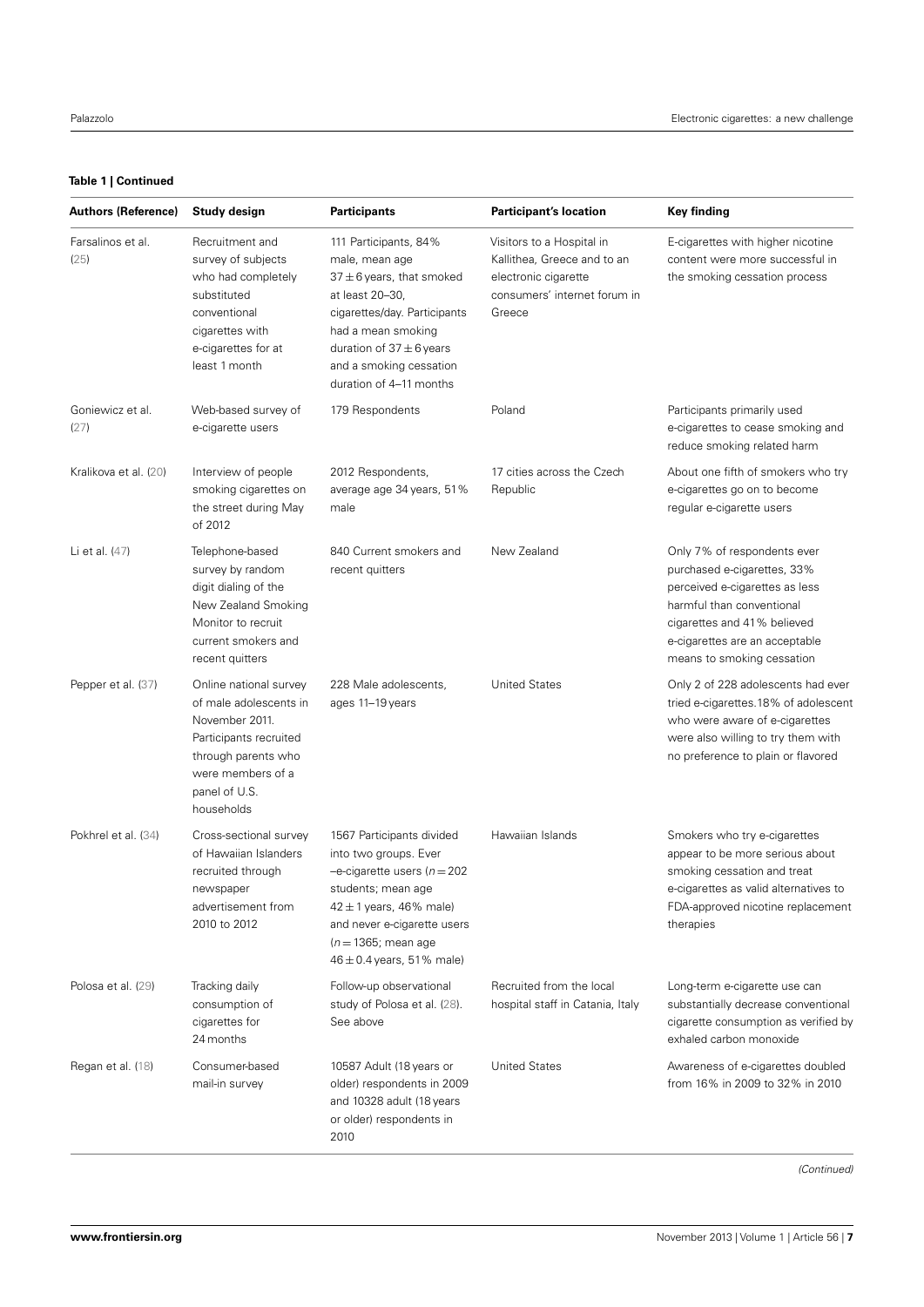# **Table 1 | Continued**

| <b>Authors (Reference)</b> | Study design                                                                                                                                                            | <b>Participants</b>                                                                                                                                                                                                                     | <b>Participant's location</b>                                                                                              | <b>Key finding</b>                                                                                                                                                                                                       |
|----------------------------|-------------------------------------------------------------------------------------------------------------------------------------------------------------------------|-----------------------------------------------------------------------------------------------------------------------------------------------------------------------------------------------------------------------------------------|----------------------------------------------------------------------------------------------------------------------------|--------------------------------------------------------------------------------------------------------------------------------------------------------------------------------------------------------------------------|
| Farsalinos et al.<br>(25)  | Recruitment and<br>survey of subjects<br>who had completely<br>substituted<br>conventional<br>cigarettes with<br>e-cigarettes for at<br>least 1 month                   | 111 Participants, 84%<br>male, mean age<br>$37 \pm 6$ years, that smoked<br>at least 20-30,<br>cigarettes/day. Participants<br>had a mean smoking<br>duration of $37 \pm 6$ years<br>and a smoking cessation<br>duration of 4-11 months | Visitors to a Hospital in<br>Kallithea, Greece and to an<br>electronic cigarette<br>consumers' internet forum in<br>Greece | E-cigarettes with higher nicotine<br>content were more successful in<br>the smoking cessation process                                                                                                                    |
| Goniewicz et al.<br>(27)   | Web-based survey of<br>e-cigarette users                                                                                                                                | 179 Respondents                                                                                                                                                                                                                         | Poland                                                                                                                     | Participants primarily used<br>e-cigarettes to cease smoking and<br>reduce smoking related harm                                                                                                                          |
| Kralikova et al. (20)      | Interview of people<br>smoking cigarettes on<br>the street during May<br>of 2012                                                                                        | 2012 Respondents,<br>average age 34 years, 51%<br>male                                                                                                                                                                                  | 17 cities across the Czech<br>Republic                                                                                     | About one fifth of smokers who try<br>e-cigarettes go on to become<br>regular e-cigarette users                                                                                                                          |
| Li et al. (47)             | Telephone-based<br>survey by random<br>digit dialing of the<br>New Zealand Smoking<br>Monitor to recruit<br>current smokers and<br>recent quitters                      | 840 Current smokers and<br>recent quitters                                                                                                                                                                                              | New Zealand                                                                                                                | Only 7% of respondents ever<br>purchased e-cigarettes, 33%<br>perceived e-cigarettes as less<br>harmful than conventional<br>cigarettes and 41% believed<br>e-cigarettes are an acceptable<br>means to smoking cessation |
| Pepper et al. (37)         | Online national survey<br>of male adolescents in<br>November 2011.<br>Participants recruited<br>through parents who<br>were members of a<br>panel of U.S.<br>households | 228 Male adolescents,<br>ages 11-19 years                                                                                                                                                                                               | <b>United States</b>                                                                                                       | Only 2 of 228 adolescents had ever<br>tried e-cigarettes.18% of adolescent<br>who were aware of e-cigarettes<br>were also willing to try them with<br>no preference to plain or flavored                                 |
| Pokhrel et al. (34)        | Cross-sectional survey<br>of Hawaiian Islanders<br>recruited through<br>newspaper<br>advertisement from<br>2010 to 2012                                                 | 1567 Participants divided<br>into two groups. Ever<br>$-e$ -cigarette users ( $n = 202$<br>students; mean age<br>$42 \pm 1$ years, 46% male)<br>and never e-cigarette users<br>$(n = 1365;$ mean age<br>$46 \pm 0.4$ years, 51% male)   | Hawaiian Islands                                                                                                           | Smokers who try e-cigarettes<br>appear to be more serious about<br>smoking cessation and treat<br>e-cigarettes as valid alternatives to<br>FDA-approved nicotine replacement<br>therapies                                |
| Polosa et al. (29)         | Tracking daily<br>consumption of<br>cigarettes for<br>24 months                                                                                                         | Follow-up observational<br>study of Polosa et al. (28).<br>See above                                                                                                                                                                    | Recruited from the local<br>hospital staff in Catania, Italy                                                               | Long-term e-cigarette use can<br>substantially decrease conventional<br>cigarette consumption as verified by<br>exhaled carbon monoxide                                                                                  |
| Regan et al. (18)          | Consumer-based<br>mail-in survey                                                                                                                                        | 10587 Adult (18 years or<br>older) respondents in 2009<br>and 10328 adult (18 years<br>or older) respondents in<br>2010                                                                                                                 | <b>United States</b>                                                                                                       | Awareness of e-cigarettes doubled<br>from 16% in 2009 to 32% in 2010                                                                                                                                                     |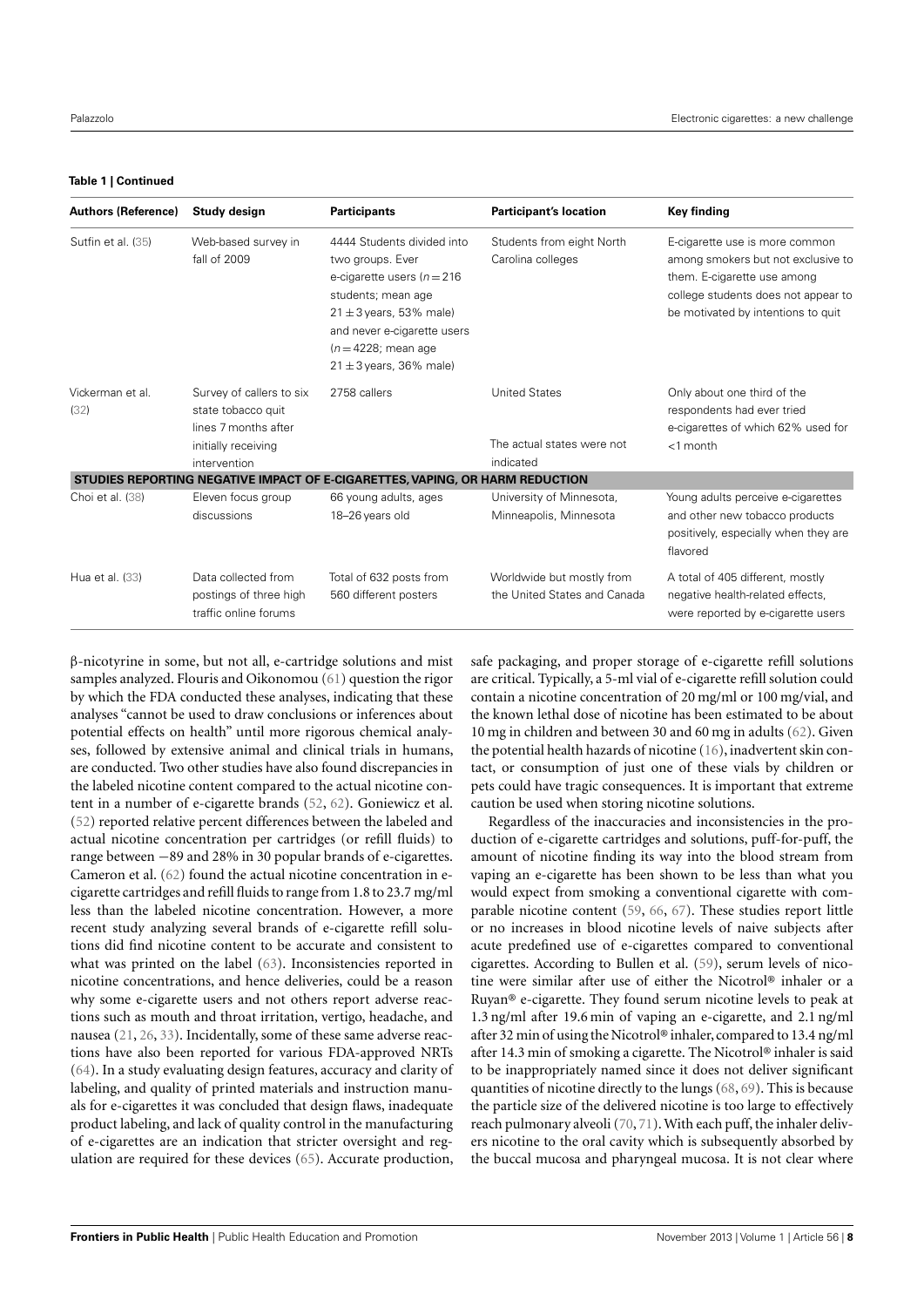### **Table 1 | Continued**

| <b>Authors (Reference)</b> | Study design                                                                                                  | <b>Participants</b>                                                                                                                                                                                                       | <b>Participant's location</b>                                   | <b>Key finding</b>                                                                                                                                                               |
|----------------------------|---------------------------------------------------------------------------------------------------------------|---------------------------------------------------------------------------------------------------------------------------------------------------------------------------------------------------------------------------|-----------------------------------------------------------------|----------------------------------------------------------------------------------------------------------------------------------------------------------------------------------|
| Sutfin et al. (35)         | Web-based survey in<br>fall of 2009                                                                           | 4444 Students divided into<br>two groups. Ever<br>e-cigarette users ( $n = 216$<br>students; mean age<br>$21 \pm 3$ years, 53% male)<br>and never e-cigarette users<br>$(n=4228;$ mean age<br>$21 \pm 3$ years, 36% male) | Students from eight North<br>Carolina colleges                  | E-cigarette use is more common<br>among smokers but not exclusive to<br>them. E-cigarette use among<br>college students does not appear to<br>be motivated by intentions to quit |
| Vickerman et al.<br>(32)   | Survey of callers to six<br>state tobacco quit<br>lines 7 months after<br>initially receiving<br>intervention | 2758 callers                                                                                                                                                                                                              | <b>United States</b><br>The actual states were not<br>indicated | Only about one third of the<br>respondents had ever tried<br>e-cigarettes of which 62% used for<br>$<$ 1 month                                                                   |
|                            |                                                                                                               | STUDIES REPORTING NEGATIVE IMPACT OF E-CIGARETTES, VAPING, OR HARM REDUCTION                                                                                                                                              |                                                                 |                                                                                                                                                                                  |
| Choi et al. (38)           | Eleven focus group<br>discussions                                                                             | 66 young adults, ages<br>18-26 years old                                                                                                                                                                                  | University of Minnesota,<br>Minneapolis, Minnesota              | Young adults perceive e-cigarettes<br>and other new tobacco products<br>positively, especially when they are<br>flavored                                                         |
| Hua et al. (33)            | Data collected from<br>postings of three high<br>traffic online forums                                        | Total of 632 posts from<br>560 different posters                                                                                                                                                                          | Worldwide but mostly from<br>the United States and Canada       | A total of 405 different, mostly<br>negative health-related effects,<br>were reported by e-cigarette users                                                                       |

β-nicotyrine in some, but not all, e-cartridge solutions and mist samples analyzed. Flouris and Oikonomou [\(61\)](#page-17-38) question the rigor by which the FDA conducted these analyses, indicating that these analyses "cannot be used to draw conclusions or inferences about potential effects on health" until more rigorous chemical analyses, followed by extensive animal and clinical trials in humans, are conducted. Two other studies have also found discrepancies in the labeled nicotine content compared to the actual nicotine content in a number of e-cigarette brands [\(52,](#page-17-29) [62\)](#page-17-39). Goniewicz et al. [\(52\)](#page-17-29) reported relative percent differences between the labeled and actual nicotine concentration per cartridges (or refill fluids) to range between −89 and 28% in 30 popular brands of e-cigarettes. Cameron et al. [\(62\)](#page-17-39) found the actual nicotine concentration in ecigarette cartridges and refill fluids to range from 1.8 to 23.7 mg/ml less than the labeled nicotine concentration. However, a more recent study analyzing several brands of e-cigarette refill solutions did find nicotine content to be accurate and consistent to what was printed on the label [\(63\)](#page-18-0). Inconsistencies reported in nicotine concentrations, and hence deliveries, could be a reason why some e-cigarette users and not others report adverse reactions such as mouth and throat irritation, vertigo, headache, and nausea [\(21,](#page-17-0) [26,](#page-17-3) [33\)](#page-17-10). Incidentally, some of these same adverse reactions have also been reported for various FDA-approved NRTs [\(64\)](#page-18-1). In a study evaluating design features, accuracy and clarity of labeling, and quality of printed materials and instruction manuals for e-cigarettes it was concluded that design flaws, inadequate product labeling, and lack of quality control in the manufacturing of e-cigarettes are an indication that stricter oversight and regulation are required for these devices [\(65\)](#page-18-2). Accurate production, safe packaging, and proper storage of e-cigarette refill solutions are critical. Typically, a 5-ml vial of e-cigarette refill solution could contain a nicotine concentration of 20 mg/ml or 100 mg/vial, and the known lethal dose of nicotine has been estimated to be about 10 mg in children and between 30 and 60 mg in adults [\(62\)](#page-17-39). Given the potential health hazards of nicotine [\(16\)](#page-16-15), inadvertent skin contact, or consumption of just one of these vials by children or pets could have tragic consequences. It is important that extreme caution be used when storing nicotine solutions.

Regardless of the inaccuracies and inconsistencies in the production of e-cigarette cartridges and solutions, puff-for-puff, the amount of nicotine finding its way into the blood stream from vaping an e-cigarette has been shown to be less than what you would expect from smoking a conventional cigarette with comparable nicotine content [\(59,](#page-17-34) [66,](#page-18-3) [67\)](#page-18-4). These studies report little or no increases in blood nicotine levels of naive subjects after acute predefined use of e-cigarettes compared to conventional cigarettes. According to Bullen et al. [\(59\)](#page-17-34), serum levels of nicotine were similar after use of either the Nicotrol® inhaler or a Ruyan® e-cigarette. They found serum nicotine levels to peak at 1.3 ng/ml after 19.6 min of vaping an e-cigarette, and 2.1 ng/ml after 32 min of using the Nicotrol® inhaler, compared to 13.4 ng/ml after 14.3 min of smoking a cigarette. The Nicotrol® inhaler is said to be inappropriately named since it does not deliver significant quantities of nicotine directly to the lungs [\(68,](#page-18-5) [69\)](#page-18-6). This is because the particle size of the delivered nicotine is too large to effectively reach pulmonary alveoli [\(70,](#page-18-7) [71\)](#page-18-8). With each puff, the inhaler delivers nicotine to the oral cavity which is subsequently absorbed by the buccal mucosa and pharyngeal mucosa. It is not clear where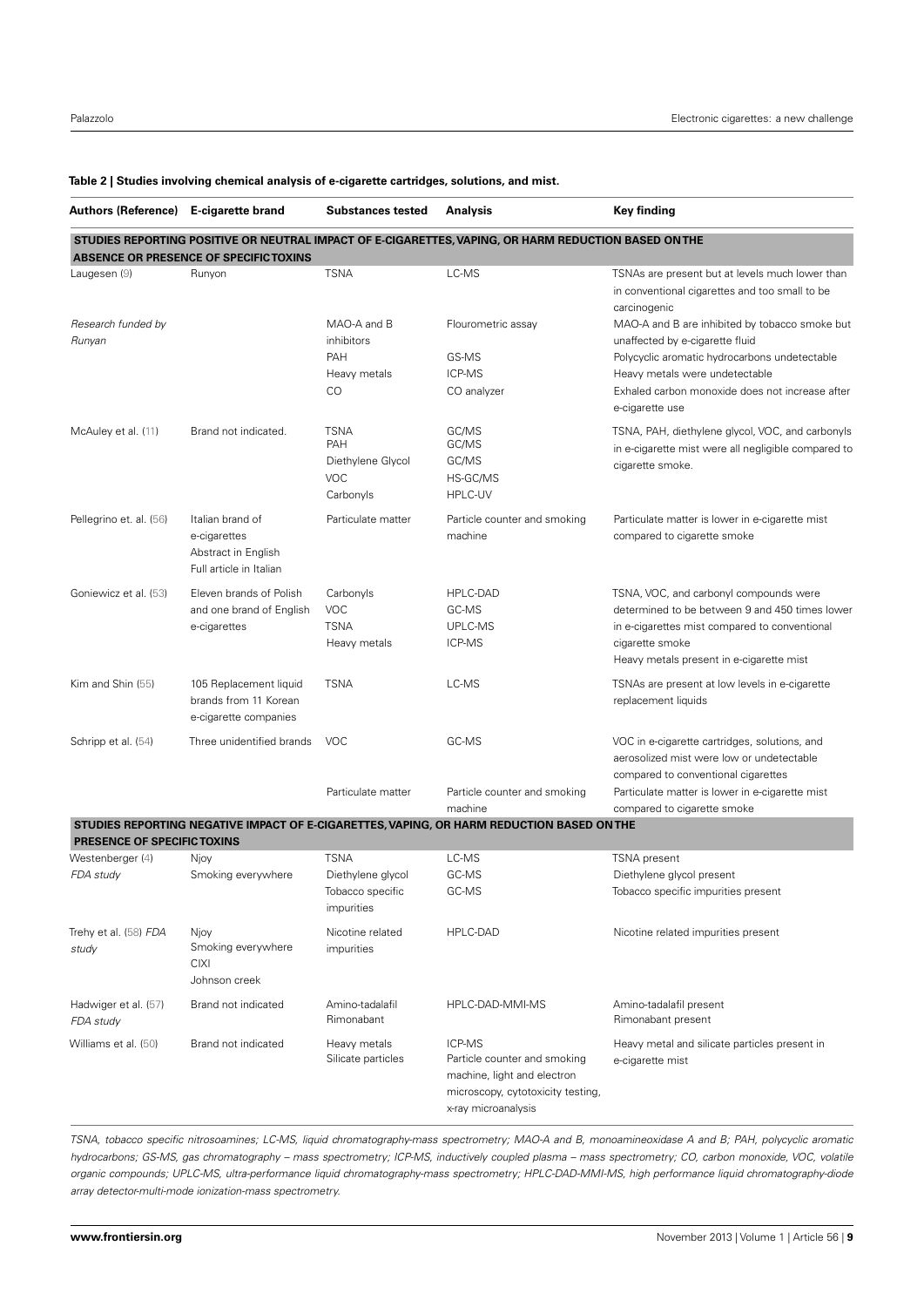## <span id="page-8-0"></span>**Table 2 | Studies involving chemical analysis of e-cigarette cartridges, solutions, and mist.**

| Authors (Reference) E-cigarette brand                  |                                                                                    | <b>Substances tested</b>                                           | Analysis                                                                                                                          | Key finding                                                                                                                                                                                              |
|--------------------------------------------------------|------------------------------------------------------------------------------------|--------------------------------------------------------------------|-----------------------------------------------------------------------------------------------------------------------------------|----------------------------------------------------------------------------------------------------------------------------------------------------------------------------------------------------------|
|                                                        | ABSENCE OR PRESENCE OF SPECIFIC TOXINS                                             |                                                                    | STUDIES REPORTING POSITIVE OR NEUTRAL IMPACT OF E-CIGARETTES, VAPING, OR HARM REDUCTION BASED ON THE                              |                                                                                                                                                                                                          |
| Laugesen (9)                                           | Runyon                                                                             | <b>TSNA</b>                                                        | LC-MS                                                                                                                             | TSNAs are present but at levels much lower than<br>in conventional cigarettes and too small to be<br>carcinogenic                                                                                        |
| Research funded by<br>Runyan                           |                                                                                    | MAO-A and B<br>inhibitors<br>PAH<br>Heavy metals                   | Flourometric assay<br>GS-MS<br>ICP-MS                                                                                             | MAO-A and B are inhibited by tobacco smoke but<br>unaffected by e-cigarette fluid<br>Polycyclic aromatic hydrocarbons undetectable<br>Heavy metals were undetectable                                     |
|                                                        |                                                                                    | CO                                                                 | CO analyzer                                                                                                                       | Exhaled carbon monoxide does not increase after<br>e-cigarette use                                                                                                                                       |
| McAuley et al. (11)                                    | Brand not indicated.                                                               | <b>TSNA</b><br>PAH<br>Diethylene Glycol<br><b>VOC</b><br>Carbonyls | GC/MS<br>GC/MS<br>GC/MS<br>HS-GC/MS<br>HPLC-UV                                                                                    | TSNA, PAH, diethylene glycol, VOC, and carbonyls<br>in e-cigarette mist were all negligible compared to<br>cigarette smoke.                                                                              |
| Pellegrino et. al. (56)                                | Italian brand of<br>e-cigarettes<br>Abstract in English<br>Full article in Italian | Particulate matter                                                 | Particle counter and smoking<br>machine                                                                                           | Particulate matter is lower in e-cigarette mist<br>compared to cigarette smoke                                                                                                                           |
| <b>Goniewicz et al. (</b> 53)                          | Eleven brands of Polish<br>and one brand of English<br>e-cigarettes                | Carbonyls<br><b>VOC</b><br><b>TSNA</b><br>Heavy metals             | HPLC-DAD<br>GC-MS<br>UPLC-MS<br>ICP-MS                                                                                            | TSNA, VOC, and carbonyl compounds were<br>determined to be between 9 and 450 times lower<br>in e-cigarettes mist compared to conventional<br>cigarette smoke<br>Heavy metals present in e-cigarette mist |
| Kim and Shin (55)                                      | 105 Replacement liquid<br>brands from 11 Korean<br>e-cigarette companies           | <b>TSNA</b>                                                        | LC-MS                                                                                                                             | TSNAs are present at low levels in e-cigarette<br>replacement liquids                                                                                                                                    |
| Schripp et al. (54)                                    | Three unidentified brands                                                          | <b>VOC</b>                                                         | GC-MS                                                                                                                             | VOC in e-cigarette cartridges, solutions, and<br>aerosolized mist were low or undetectable<br>compared to conventional cigarettes                                                                        |
|                                                        |                                                                                    | Particulate matter                                                 | Particle counter and smoking<br>machine                                                                                           | Particulate matter is lower in e-cigarette mist<br>compared to cigarette smoke                                                                                                                           |
|                                                        |                                                                                    |                                                                    | STUDIES REPORTING NEGATIVE IMPACT OF E-CIGARETTES, VAPING, OR HARM REDUCTION BASED ON THE                                         |                                                                                                                                                                                                          |
| <b>PRESENCE OF SPECIFIC TOXINS</b><br>Westenberger (4) | Njoy                                                                               | <b>TSNA</b>                                                        | LC-MS                                                                                                                             | <b>TSNA</b> present                                                                                                                                                                                      |
| FDA study                                              | Smoking everywhere                                                                 | Diethylene glycol<br>Tobacco specific<br>impurities                | GC-MS<br>GC-MS                                                                                                                    | Diethylene glycol present<br>Tobacco specific impurities present                                                                                                                                         |
| Trehy et al. (58) FDA<br>study                         | Njoy<br>Smoking everywhere<br><b>CIXI</b><br>Johnson creek                         | Nicotine related<br>impurities                                     | HPLC-DAD                                                                                                                          | Nicotine related impurities present                                                                                                                                                                      |
| Hadwiger et al. (57)<br>FDA study                      | Brand not indicated                                                                | Amino-tadalafil<br>Rimonabant                                      | HPLC-DAD-MMI-MS                                                                                                                   | Amino-tadalafil present<br>Rimonabant present                                                                                                                                                            |
| Williams et al. (50)                                   | Brand not indicated                                                                | Heavy metals<br>Silicate particles                                 | ICP-MS<br>Particle counter and smoking<br>machine, light and electron<br>microscopy, cytotoxicity testing,<br>x-ray microanalysis | Heavy metal and silicate particles present in<br>e-cigarette mist                                                                                                                                        |

TSNA, tobacco specific nitrosoamines; LC-MS, liquid chromatography-mass spectrometry; MAO-A and B, monoamineoxidase A and B; PAH, polycyclic aromatic hydrocarbons; GS-MS, gas chromatography – mass spectrometry; ICP-MS, inductively coupled plasma – mass spectrometry; CO, carbon monoxide, VOC, volatile organic compounds; UPLC-MS, ultra-performance liquid chromatography-mass spectrometry; HPLC-DAD-MMI-MS, high performance liquid chromatography-diode array detector-multi-mode ionization-mass spectrometry.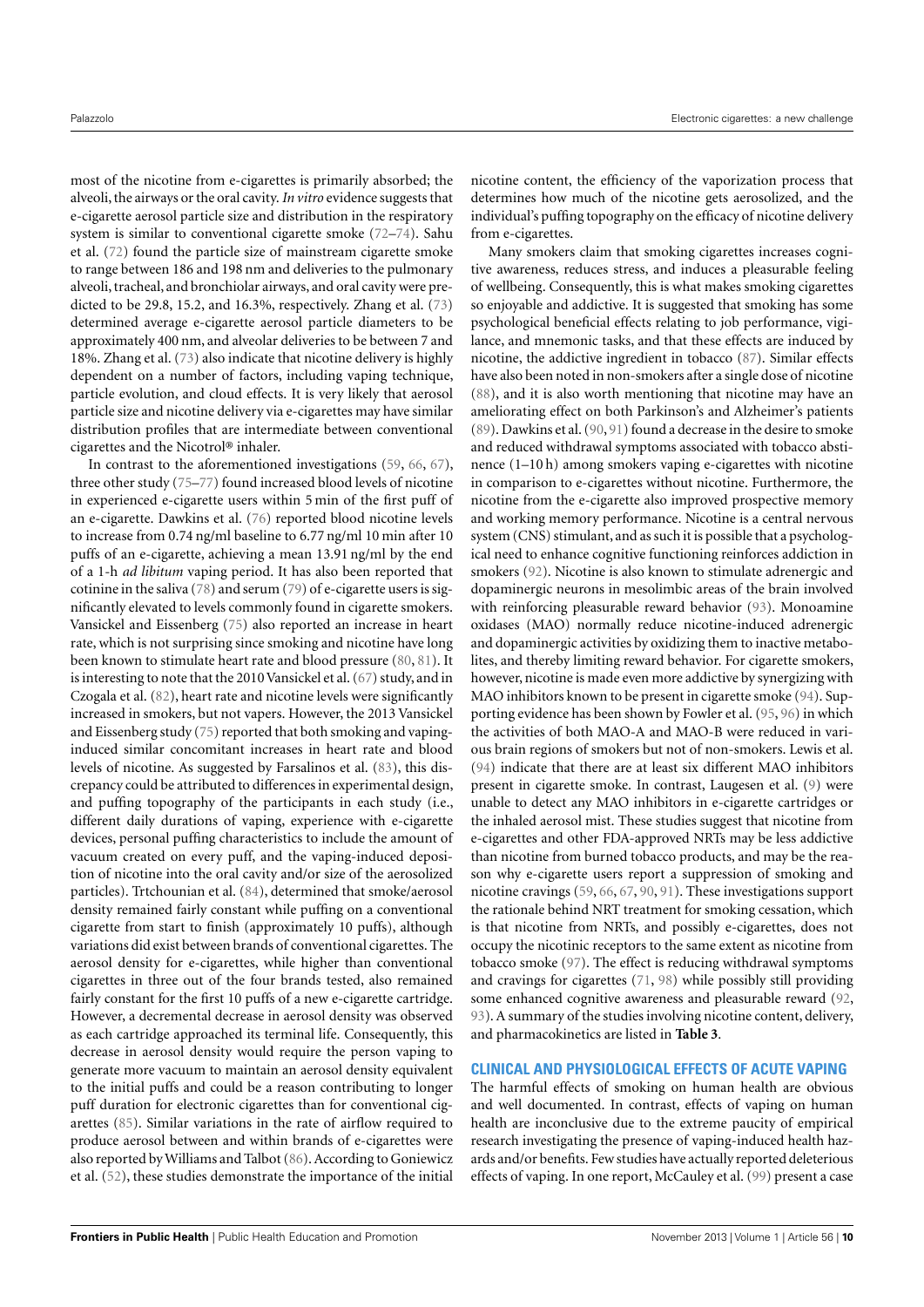most of the nicotine from e-cigarettes is primarily absorbed; the alveoli, the airways or the oral cavity.*In vitro* evidence suggests that e-cigarette aerosol particle size and distribution in the respiratory system is similar to conventional cigarette smoke [\(72](#page-18-9)[–74\)](#page-18-10). Sahu et al. [\(72\)](#page-18-9) found the particle size of mainstream cigarette smoke to range between 186 and 198 nm and deliveries to the pulmonary alveoli, tracheal, and bronchiolar airways, and oral cavity were predicted to be 29.8, 15.2, and 16.3%, respectively. Zhang et al. [\(73\)](#page-18-11) determined average e-cigarette aerosol particle diameters to be approximately 400 nm, and alveolar deliveries to be between 7 and 18%. Zhang et al. [\(73\)](#page-18-11) also indicate that nicotine delivery is highly dependent on a number of factors, including vaping technique, particle evolution, and cloud effects. It is very likely that aerosol particle size and nicotine delivery via e-cigarettes may have similar distribution profiles that are intermediate between conventional cigarettes and the Nicotrol® inhaler.

In contrast to the aforementioned investigations [\(59,](#page-17-34) [66,](#page-18-3) [67\)](#page-18-4), three other study [\(75](#page-18-12)[–77\)](#page-18-13) found increased blood levels of nicotine in experienced e-cigarette users within 5 min of the first puff of an e-cigarette. Dawkins et al. [\(76\)](#page-18-14) reported blood nicotine levels to increase from 0.74 ng/ml baseline to 6.77 ng/ml 10 min after 10 puffs of an e-cigarette, achieving a mean 13.91 ng/ml by the end of a 1-h *ad libitum* vaping period. It has also been reported that cotinine in the saliva [\(78\)](#page-18-15) and serum [\(79\)](#page-18-16) of e-cigarette users is significantly elevated to levels commonly found in cigarette smokers. Vansickel and Eissenberg [\(75\)](#page-18-12) also reported an increase in heart rate, which is not surprising since smoking and nicotine have long been known to stimulate heart rate and blood pressure [\(80,](#page-18-17) [81\)](#page-18-18). It is interesting to note that the 2010 Vansickel et al. [\(67\)](#page-18-4) study, and in Czogala et al. [\(82\)](#page-18-19), heart rate and nicotine levels were significantly increased in smokers, but not vapers. However, the 2013 Vansickel and Eissenberg study [\(75\)](#page-18-12) reported that both smoking and vapinginduced similar concomitant increases in heart rate and blood levels of nicotine. As suggested by Farsalinos et al. [\(83\)](#page-18-20), this discrepancy could be attributed to differences in experimental design, and puffing topography of the participants in each study (i.e., different daily durations of vaping, experience with e-cigarette devices, personal puffing characteristics to include the amount of vacuum created on every puff, and the vaping-induced deposition of nicotine into the oral cavity and/or size of the aerosolized particles). Trtchounian et al. [\(84\)](#page-18-21), determined that smoke/aerosol density remained fairly constant while puffing on a conventional cigarette from start to finish (approximately 10 puffs), although variations did exist between brands of conventional cigarettes. The aerosol density for e-cigarettes, while higher than conventional cigarettes in three out of the four brands tested, also remained fairly constant for the first 10 puffs of a new e-cigarette cartridge. However, a decremental decrease in aerosol density was observed as each cartridge approached its terminal life. Consequently, this decrease in aerosol density would require the person vaping to generate more vacuum to maintain an aerosol density equivalent to the initial puffs and could be a reason contributing to longer puff duration for electronic cigarettes than for conventional cigarettes [\(85\)](#page-18-22). Similar variations in the rate of airflow required to produce aerosol between and within brands of e-cigarettes were also reported by Williams and Talbot [\(86\)](#page-18-23). According to Goniewicz et al. [\(52\)](#page-17-29), these studies demonstrate the importance of the initial

nicotine content, the efficiency of the vaporization process that determines how much of the nicotine gets aerosolized, and the individual's puffing topography on the efficacy of nicotine delivery from e-cigarettes.

Many smokers claim that smoking cigarettes increases cognitive awareness, reduces stress, and induces a pleasurable feeling of wellbeing. Consequently, this is what makes smoking cigarettes so enjoyable and addictive. It is suggested that smoking has some psychological beneficial effects relating to job performance, vigilance, and mnemonic tasks, and that these effects are induced by nicotine, the addictive ingredient in tobacco [\(87\)](#page-18-24). Similar effects have also been noted in non-smokers after a single dose of nicotine [\(88\)](#page-18-25), and it is also worth mentioning that nicotine may have an ameliorating effect on both Parkinson's and Alzheimer's patients [\(89\)](#page-18-26). Dawkins et al. [\(90,](#page-18-27) [91\)](#page-18-28) found a decrease in the desire to smoke and reduced withdrawal symptoms associated with tobacco abstinence (1–10 h) among smokers vaping e-cigarettes with nicotine in comparison to e-cigarettes without nicotine. Furthermore, the nicotine from the e-cigarette also improved prospective memory and working memory performance. Nicotine is a central nervous system (CNS) stimulant, and as such it is possible that a psychological need to enhance cognitive functioning reinforces addiction in smokers [\(92\)](#page-18-29). Nicotine is also known to stimulate adrenergic and dopaminergic neurons in mesolimbic areas of the brain involved with reinforcing pleasurable reward behavior [\(93\)](#page-18-30). Monoamine oxidases (MAO) normally reduce nicotine-induced adrenergic and dopaminergic activities by oxidizing them to inactive metabolites, and thereby limiting reward behavior. For cigarette smokers, however, nicotine is made even more addictive by synergizing with MAO inhibitors known to be present in cigarette smoke [\(94\)](#page-18-31). Supporting evidence has been shown by Fowler et al. [\(95,](#page-18-32) [96\)](#page-18-33) in which the activities of both MAO-A and MAO-B were reduced in various brain regions of smokers but not of non-smokers. Lewis et al. [\(94\)](#page-18-31) indicate that there are at least six different MAO inhibitors present in cigarette smoke. In contrast, Laugesen et al. [\(9\)](#page-16-8) were unable to detect any MAO inhibitors in e-cigarette cartridges or the inhaled aerosol mist. These studies suggest that nicotine from e-cigarettes and other FDA-approved NRTs may be less addictive than nicotine from burned tobacco products, and may be the reason why e-cigarette users report a suppression of smoking and nicotine cravings [\(59,](#page-17-34) [66,](#page-18-3) [67,](#page-18-4) [90,](#page-18-27) [91\)](#page-18-28). These investigations support the rationale behind NRT treatment for smoking cessation, which is that nicotine from NRTs, and possibly e-cigarettes, does not occupy the nicotinic receptors to the same extent as nicotine from tobacco smoke [\(97\)](#page-18-34). The effect is reducing withdrawal symptoms and cravings for cigarettes [\(71,](#page-18-8) [98\)](#page-18-35) while possibly still providing some enhanced cognitive awareness and pleasurable reward [\(92,](#page-18-29) [93\)](#page-18-30). A summary of the studies involving nicotine content, delivery, and pharmacokinetics are listed in **[Table 3](#page-10-0)**.

## **CLINICAL AND PHYSIOLOGICAL EFFECTS OF ACUTE VAPING**

The harmful effects of smoking on human health are obvious and well documented. In contrast, effects of vaping on human health are inconclusive due to the extreme paucity of empirical research investigating the presence of vaping-induced health hazards and/or benefits. Few studies have actually reported deleterious effects of vaping. In one report, McCauley et al. [\(99\)](#page-18-36) present a case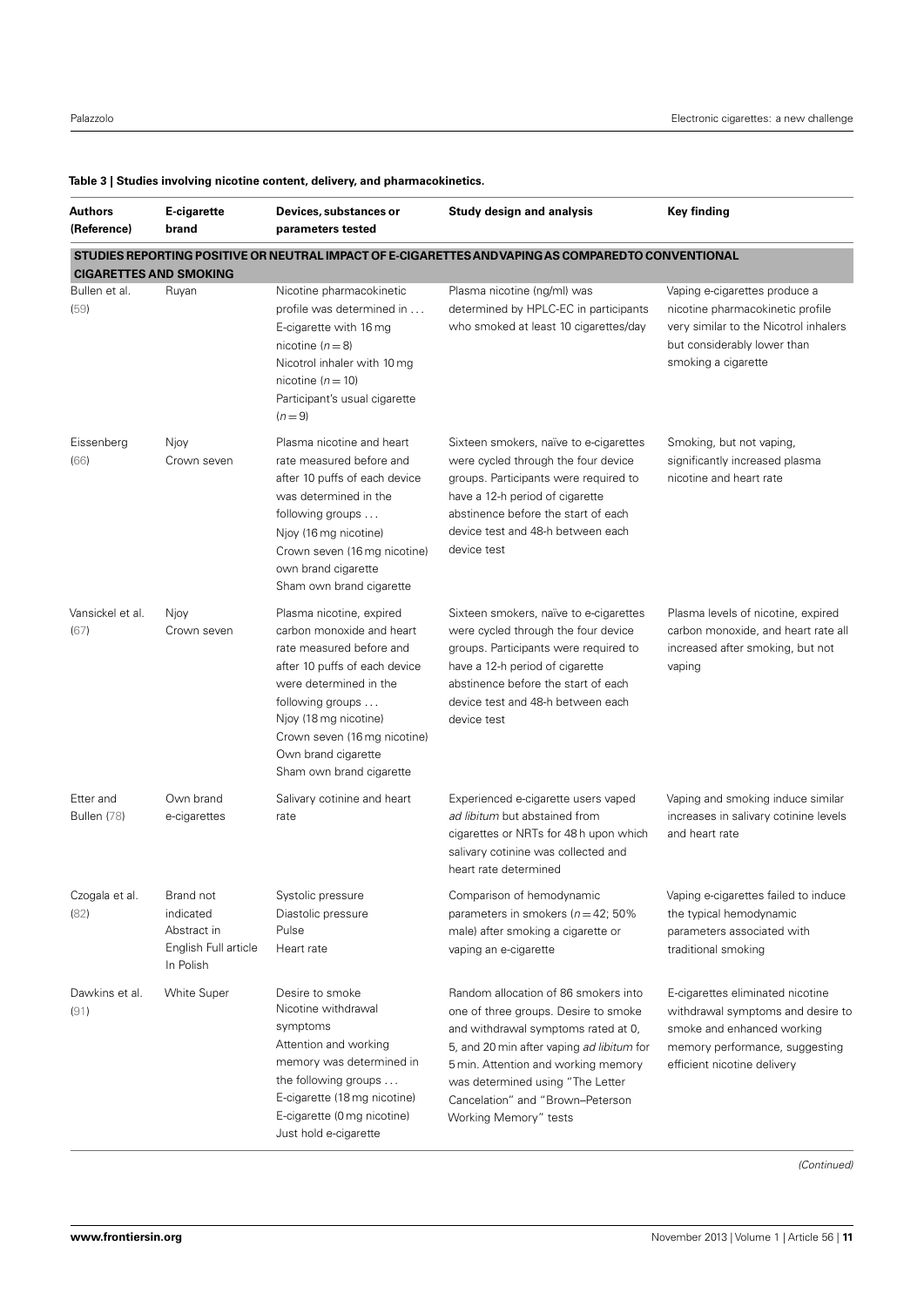| <b>Authors</b><br>(Reference) | E-cigarette<br>brand                                                       | Devices, substances or<br>parameters tested                                                                                                                                                                                                                                  | <b>Study design and analysis</b>                                                                                                                                                                                                                                                                         | <b>Key finding</b>                                                                                                                                                   |
|-------------------------------|----------------------------------------------------------------------------|------------------------------------------------------------------------------------------------------------------------------------------------------------------------------------------------------------------------------------------------------------------------------|----------------------------------------------------------------------------------------------------------------------------------------------------------------------------------------------------------------------------------------------------------------------------------------------------------|----------------------------------------------------------------------------------------------------------------------------------------------------------------------|
| <b>CIGARETTES AND SMOKING</b> |                                                                            |                                                                                                                                                                                                                                                                              | STUDIES REPORTING POSITIVE OR NEUTRAL IMPACT OF E-CIGARETTES AND VAPING AS COMPAREDTO CONVENTIONAL                                                                                                                                                                                                       |                                                                                                                                                                      |
| Bullen et al.<br>(59)         | Ruyan                                                                      | Nicotine pharmacokinetic<br>profile was determined in<br>E-cigarette with 16 mg<br>nicotine $(n=8)$<br>Nicotrol inhaler with 10 mg<br>nicotine ( $n = 10$ )<br>Participant's usual cigarette<br>$(n=9)$                                                                      | Plasma nicotine (ng/ml) was<br>determined by HPLC-EC in participants<br>who smoked at least 10 cigarettes/day                                                                                                                                                                                            | Vaping e-cigarettes produce a<br>nicotine pharmacokinetic profile<br>very similar to the Nicotrol inhalers<br>but considerably lower than<br>smoking a cigarette     |
| Eissenberg<br>(66)            | Njoy<br>Crown seven                                                        | Plasma nicotine and heart<br>rate measured before and<br>after 10 puffs of each device<br>was determined in the<br>following groups<br>Njoy (16 mg nicotine)<br>Crown seven (16 mg nicotine)<br>own brand cigarette<br>Sham own brand cigarette                              | Sixteen smokers, naïve to e-cigarettes<br>were cycled through the four device<br>groups. Participants were required to<br>have a 12-h period of cigarette<br>abstinence before the start of each<br>device test and 48-h between each<br>device test                                                     | Smoking, but not vaping,<br>significantly increased plasma<br>nicotine and heart rate                                                                                |
| Vansickel et al.<br>(67)      | Njoy<br>Crown seven                                                        | Plasma nicotine, expired<br>carbon monoxide and heart<br>rate measured before and<br>after 10 puffs of each device<br>were determined in the<br>following groups<br>Njoy (18 mg nicotine)<br>Crown seven (16 mg nicotine)<br>Own brand cigarette<br>Sham own brand cigarette | Sixteen smokers, naïve to e-cigarettes<br>were cycled through the four device<br>groups. Participants were required to<br>have a 12-h period of cigarette<br>abstinence before the start of each<br>device test and 48-h between each<br>device test                                                     | Plasma levels of nicotine, expired<br>carbon monoxide, and heart rate all<br>increased after smoking, but not<br>vaping                                              |
| Etter and<br>Bullen (78)      | Own brand<br>e-cigarettes                                                  | Salivary cotinine and heart<br>rate                                                                                                                                                                                                                                          | Experienced e-cigarette users vaped<br>ad libitum but abstained from<br>cigarettes or NRTs for 48 h upon which<br>salivary cotinine was collected and<br>heart rate determined                                                                                                                           | Vaping and smoking induce similar<br>increases in salivary cotinine levels<br>and heart rate                                                                         |
| Czogala et al.<br>(82)        | Brand not<br>indicated<br>Abstract in<br>English Full article<br>In Polish | Systolic pressure<br>Diastolic pressure<br>Pulse<br>Heart rate                                                                                                                                                                                                               | Comparison of hemodynamic<br>parameters in smokers ( $n = 42$ ; 50%<br>male) after smoking a cigarette or<br>vaping an e-cigarette                                                                                                                                                                       | Vaping e-cigarettes failed to induce<br>the typical hemodynamic<br>parameters associated with<br>traditional smoking                                                 |
| Dawkins et al.<br>(91)        | <b>White Super</b>                                                         | Desire to smoke<br>Nicotine withdrawal<br>symptoms<br>Attention and working<br>memory was determined in<br>the following groups<br>E-cigarette (18 mg nicotine)<br>E-cigarette (0 mg nicotine)<br>Just hold e-cigarette                                                      | Random allocation of 86 smokers into<br>one of three groups. Desire to smoke<br>and withdrawal symptoms rated at 0,<br>5, and 20 min after vaping ad libitum for<br>5 min. Attention and working memory<br>was determined using "The Letter<br>Cancelation" and "Brown-Peterson<br>Working Memory" tests | E-cigarettes eliminated nicotine<br>withdrawal symptoms and desire to<br>smoke and enhanced working<br>memory performance, suggesting<br>efficient nicotine delivery |

# <span id="page-10-0"></span>**Table 3 | Studies involving nicotine content, delivery, and pharmacokinetics.**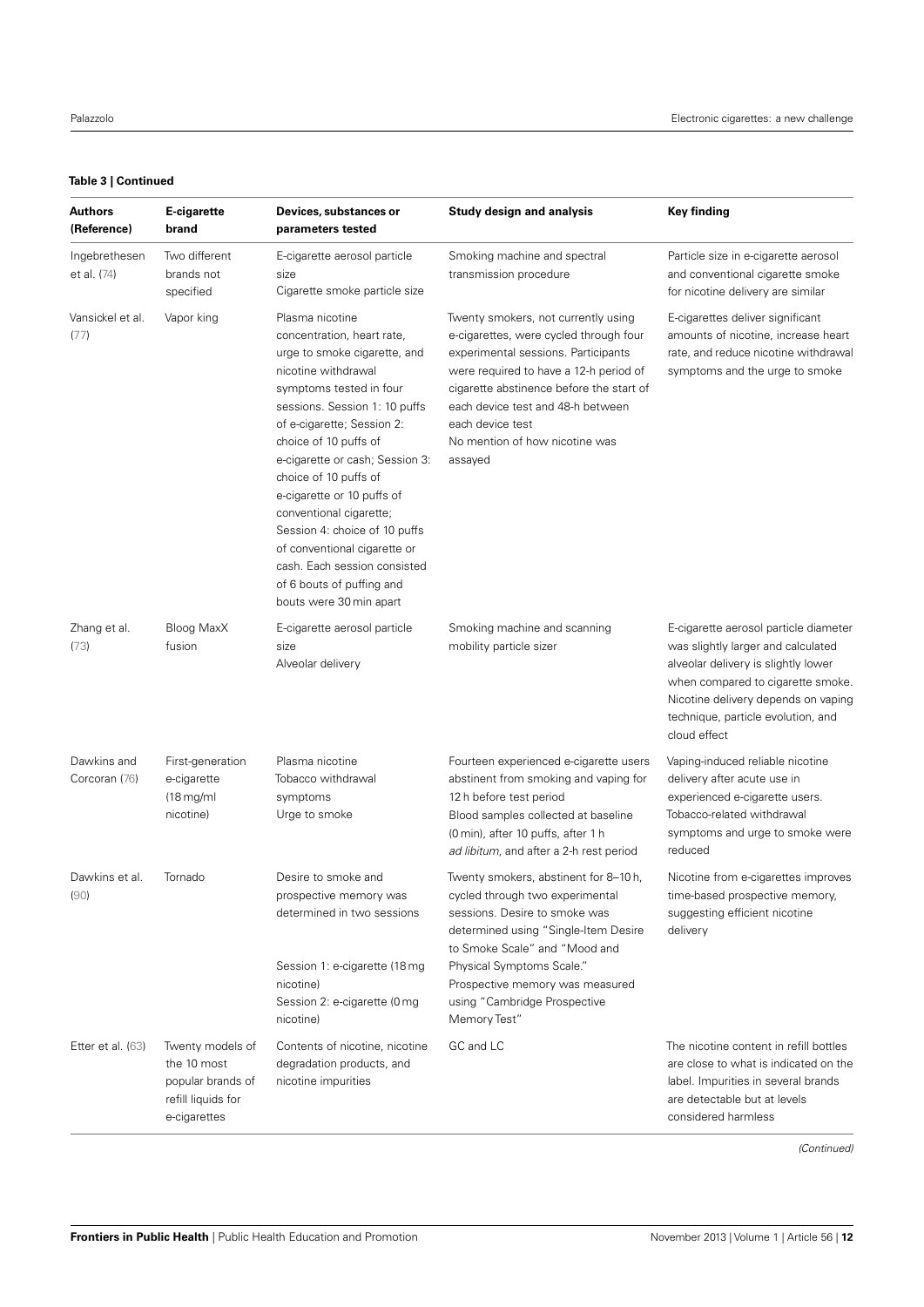# **Table 3 | Continued**

| <b>Authors</b><br>(Reference) | E-cigarette<br>brand                                                                       | Devices, substances or<br>parameters tested                                                                                                                                                                                                                                                                                                                                                                                                                                                           | <b>Study design and analysis</b>                                                                                                                                                                                                                                                                                 | Key finding                                                                                                                                                                                                                                          |
|-------------------------------|--------------------------------------------------------------------------------------------|-------------------------------------------------------------------------------------------------------------------------------------------------------------------------------------------------------------------------------------------------------------------------------------------------------------------------------------------------------------------------------------------------------------------------------------------------------------------------------------------------------|------------------------------------------------------------------------------------------------------------------------------------------------------------------------------------------------------------------------------------------------------------------------------------------------------------------|------------------------------------------------------------------------------------------------------------------------------------------------------------------------------------------------------------------------------------------------------|
| Ingebrethesen<br>et al. (74)  | Two different<br>brands not<br>specified                                                   | E-cigarette aerosol particle<br>size<br>Cigarette smoke particle size                                                                                                                                                                                                                                                                                                                                                                                                                                 | Smoking machine and spectral<br>transmission procedure                                                                                                                                                                                                                                                           | Particle size in e-cigarette aerosol<br>and conventional cigarette smoke<br>for nicotine delivery are similar                                                                                                                                        |
| Vansickel et al.<br>(77)      | Vapor king                                                                                 | Plasma nicotine<br>concentration, heart rate,<br>urge to smoke cigarette, and<br>nicotine withdrawal<br>symptoms tested in four<br>sessions. Session 1: 10 puffs<br>of e-cigarette; Session 2:<br>choice of 10 puffs of<br>e-cigarette or cash; Session 3:<br>choice of 10 puffs of<br>e-cigarette or 10 puffs of<br>conventional cigarette;<br>Session 4: choice of 10 puffs<br>of conventional cigarette or<br>cash. Each session consisted<br>of 6 bouts of puffing and<br>bouts were 30 min apart | Twenty smokers, not currently using<br>e-cigarettes, were cycled through four<br>experimental sessions. Participants<br>were required to have a 12-h period of<br>cigarette abstinence before the start of<br>each device test and 48-h between<br>each device test<br>No mention of how nicotine was<br>assayed | E-cigarettes deliver significant<br>amounts of nicotine, increase heart<br>rate, and reduce nicotine withdrawal<br>symptoms and the urge to smoke                                                                                                    |
| Zhang et al.<br>(73)          | Bloog MaxX<br>fusion                                                                       | E-cigarette aerosol particle<br>size<br>Alveolar delivery                                                                                                                                                                                                                                                                                                                                                                                                                                             | Smoking machine and scanning<br>mobility particle sizer                                                                                                                                                                                                                                                          | E-cigarette aerosol particle diameter<br>was slightly larger and calculated<br>alveolar delivery is slightly lower<br>when compared to cigarette smoke.<br>Nicotine delivery depends on vaping<br>technique, particle evolution, and<br>cloud effect |
| Dawkins and<br>Corcoran (76)  | First-generation<br>e-cigarette<br>$(18 \text{ mg/ml})$<br>nicotine)                       | Plasma nicotine<br>Tobacco withdrawal<br>symptoms<br>Urge to smoke                                                                                                                                                                                                                                                                                                                                                                                                                                    | Fourteen experienced e-cigarette users<br>abstinent from smoking and vaping for<br>12 h before test period<br>Blood samples collected at baseline<br>(0 min), after 10 puffs, after 1 h<br>ad libitum, and after a 2-h rest period                                                                               | Vaping-induced reliable nicotine<br>delivery after acute use in<br>experienced e-cigarette users.<br>Tobacco-related withdrawal<br>symptoms and urge to smoke were<br>reduced                                                                        |
| Dawkins et al.<br>(90)        | Tornado                                                                                    | Desire to smoke and<br>prospective memory was<br>determined in two sessions<br>Session 1: e-cigarette (18 mg<br>nicotine)<br>Session 2: e-cigarette (0 mg<br>nicotine)                                                                                                                                                                                                                                                                                                                                | Twenty smokers, abstinent for 8-10 h,<br>cycled through two experimental<br>sessions. Desire to smoke was<br>determined using "Single-Item Desire<br>to Smoke Scale" and "Mood and<br>Physical Symptoms Scale."<br>Prospective memory was measured<br>using "Cambridge Prospective<br>Memory Test"               | Nicotine from e-cigarettes improves<br>time-based prospective memory,<br>suggesting efficient nicotine<br>delivery                                                                                                                                   |
| Etter et al. (63)             | Twenty models of<br>the 10 most<br>popular brands of<br>refill liquids for<br>e-cigarettes | Contents of nicotine, nicotine<br>degradation products, and<br>nicotine impurities                                                                                                                                                                                                                                                                                                                                                                                                                    | GC and LC                                                                                                                                                                                                                                                                                                        | The nicotine content in refill bottles<br>are close to what is indicated on the<br>label. Impurities in several brands<br>are detectable but at levels<br>considered harmless                                                                        |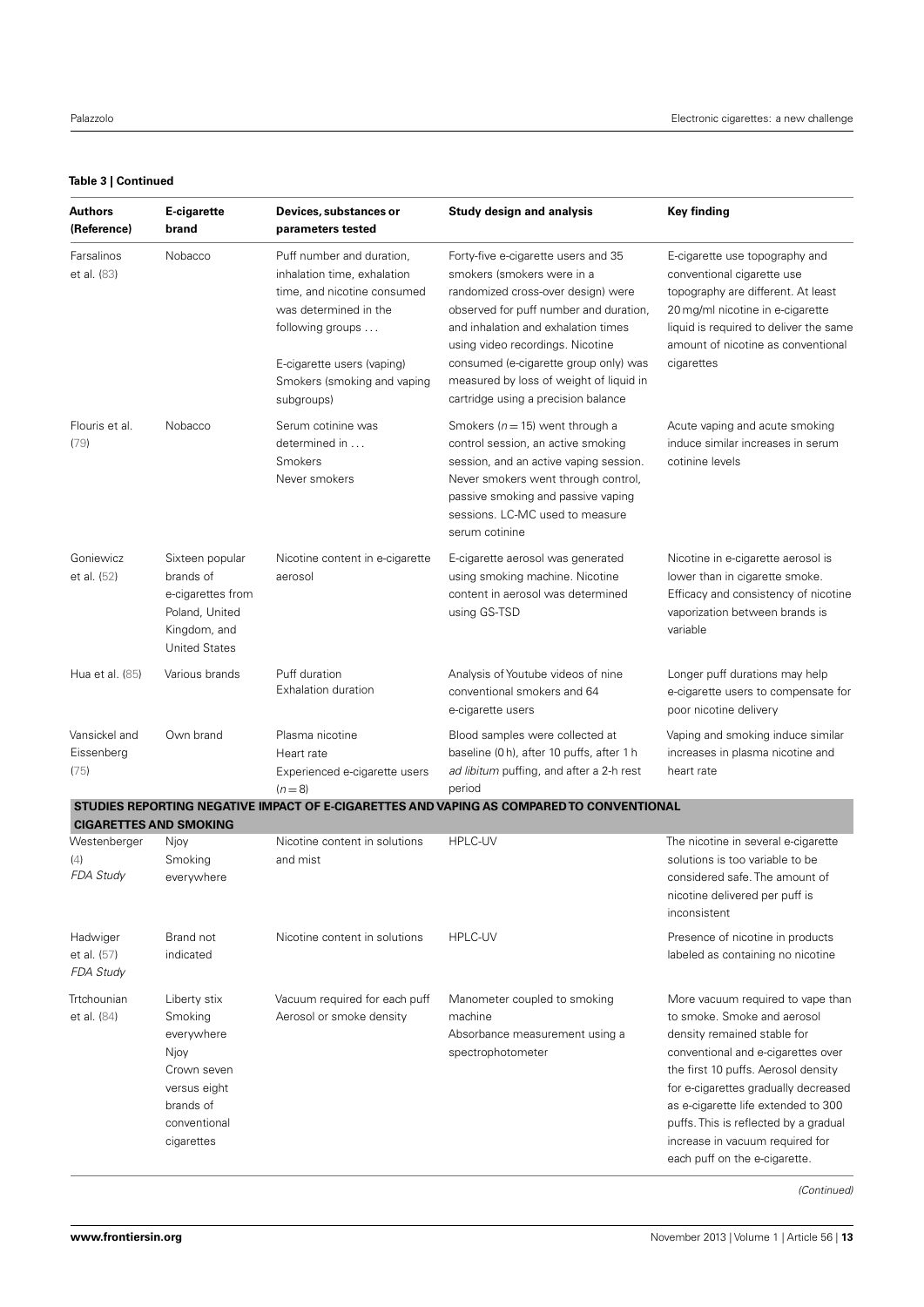# **Table 3 | Continued**

| <b>Authors</b><br>(Reference)               | E-cigarette<br>brand                                                                                                    | Devices, substances or<br>parameters tested                                                                                                                                                                     | <b>Study design and analysis</b>                                                                                                                                                                                                                                                                                                                        | Key finding                                                                                                                                                                                                                                                                                                                                                              |
|---------------------------------------------|-------------------------------------------------------------------------------------------------------------------------|-----------------------------------------------------------------------------------------------------------------------------------------------------------------------------------------------------------------|---------------------------------------------------------------------------------------------------------------------------------------------------------------------------------------------------------------------------------------------------------------------------------------------------------------------------------------------------------|--------------------------------------------------------------------------------------------------------------------------------------------------------------------------------------------------------------------------------------------------------------------------------------------------------------------------------------------------------------------------|
| Farsalinos<br>et al. (83)                   | Nobacco                                                                                                                 | Puff number and duration,<br>inhalation time, exhalation<br>time, and nicotine consumed<br>was determined in the<br>following groups<br>E-cigarette users (vaping)<br>Smokers (smoking and vaping<br>subgroups) | Forty-five e-cigarette users and 35<br>smokers (smokers were in a<br>randomized cross-over design) were<br>observed for puff number and duration,<br>and inhalation and exhalation times<br>using video recordings. Nicotine<br>consumed (e-cigarette group only) was<br>measured by loss of weight of liquid in<br>cartridge using a precision balance | E-cigarette use topography and<br>conventional cigarette use<br>topography are different. At least<br>20 mg/ml nicotine in e-cigarette<br>liquid is required to deliver the same<br>amount of nicotine as conventional<br>cigarettes                                                                                                                                     |
| Flouris et al.<br>(79)                      | Nobacco                                                                                                                 | Serum cotinine was<br>determined in<br>Smokers<br>Never smokers                                                                                                                                                 | Smokers ( $n = 15$ ) went through a<br>control session, an active smoking<br>session, and an active vaping session.<br>Never smokers went through control,<br>passive smoking and passive vaping<br>sessions. LC-MC used to measure<br>serum cotinine                                                                                                   | Acute vaping and acute smoking<br>induce similar increases in serum<br>cotinine levels                                                                                                                                                                                                                                                                                   |
| Goniewicz<br>et al. (52)                    | Sixteen popular<br>brands of<br>e-cigarettes from<br>Poland, United<br>Kingdom, and<br><b>United States</b>             | Nicotine content in e-cigarette<br>aerosol                                                                                                                                                                      | E-cigarette aerosol was generated<br>using smoking machine. Nicotine<br>content in aerosol was determined<br>using GS-TSD                                                                                                                                                                                                                               | Nicotine in e-cigarette aerosol is<br>lower than in cigarette smoke.<br>Efficacy and consistency of nicotine<br>vaporization between brands is<br>variable                                                                                                                                                                                                               |
| Hua et al. (85)                             | Various brands                                                                                                          | Puff duration<br>Exhalation duration                                                                                                                                                                            | Analysis of Youtube videos of nine<br>conventional smokers and 64<br>e-cigarette users                                                                                                                                                                                                                                                                  | Longer puff durations may help<br>e-cigarette users to compensate for<br>poor nicotine delivery                                                                                                                                                                                                                                                                          |
| Vansickel and<br>Eissenberg<br>(75)         | Own brand                                                                                                               | Plasma nicotine<br>Heart rate<br>Experienced e-cigarette users<br>$(n=8)$                                                                                                                                       | Blood samples were collected at<br>baseline (0 h), after 10 puffs, after 1 h<br>ad libitum puffing, and after a 2-h rest<br>period                                                                                                                                                                                                                      | Vaping and smoking induce similar<br>increases in plasma nicotine and<br>heart rate                                                                                                                                                                                                                                                                                      |
|                                             |                                                                                                                         |                                                                                                                                                                                                                 | STUDIES REPORTING NEGATIVE IMPACT OF E-CIGARETTES AND VAPING AS COMPARED TO CONVENTIONAL                                                                                                                                                                                                                                                                |                                                                                                                                                                                                                                                                                                                                                                          |
| Westenberger<br>(4)<br>FDA Study            | <b>CIGARETTES AND SMOKING</b><br>Njoy<br>Smoking<br>everywhere                                                          | Nicotine content in solutions<br>and mist                                                                                                                                                                       | HPLC-UV                                                                                                                                                                                                                                                                                                                                                 | The nicotine in several e-cigarette<br>solutions is too variable to be<br>considered safe. The amount of<br>nicotine delivered per puff is<br>inconsistent                                                                                                                                                                                                               |
| Hadwiger<br>et al. (57)<br><b>FDA Study</b> | Brand not<br>indicated                                                                                                  | Nicotine content in solutions                                                                                                                                                                                   | HPLC-UV                                                                                                                                                                                                                                                                                                                                                 | Presence of nicotine in products<br>labeled as containing no nicotine                                                                                                                                                                                                                                                                                                    |
| Trtchounian<br>et al. (84)                  | Liberty stix<br>Smoking<br>everywhere<br>Njoy<br>Crown seven<br>versus eight<br>brands of<br>conventional<br>cigarettes | Vacuum required for each puff<br>Aerosol or smoke density                                                                                                                                                       | Manometer coupled to smoking<br>machine<br>Absorbance measurement using a<br>spectrophotometer                                                                                                                                                                                                                                                          | More vacuum required to vape than<br>to smoke. Smoke and aerosol<br>density remained stable for<br>conventional and e-cigarettes over<br>the first 10 puffs. Aerosol density<br>for e-cigarettes gradually decreased<br>as e-cigarette life extended to 300<br>puffs. This is reflected by a gradual<br>increase in vacuum required for<br>each puff on the e-cigarette. |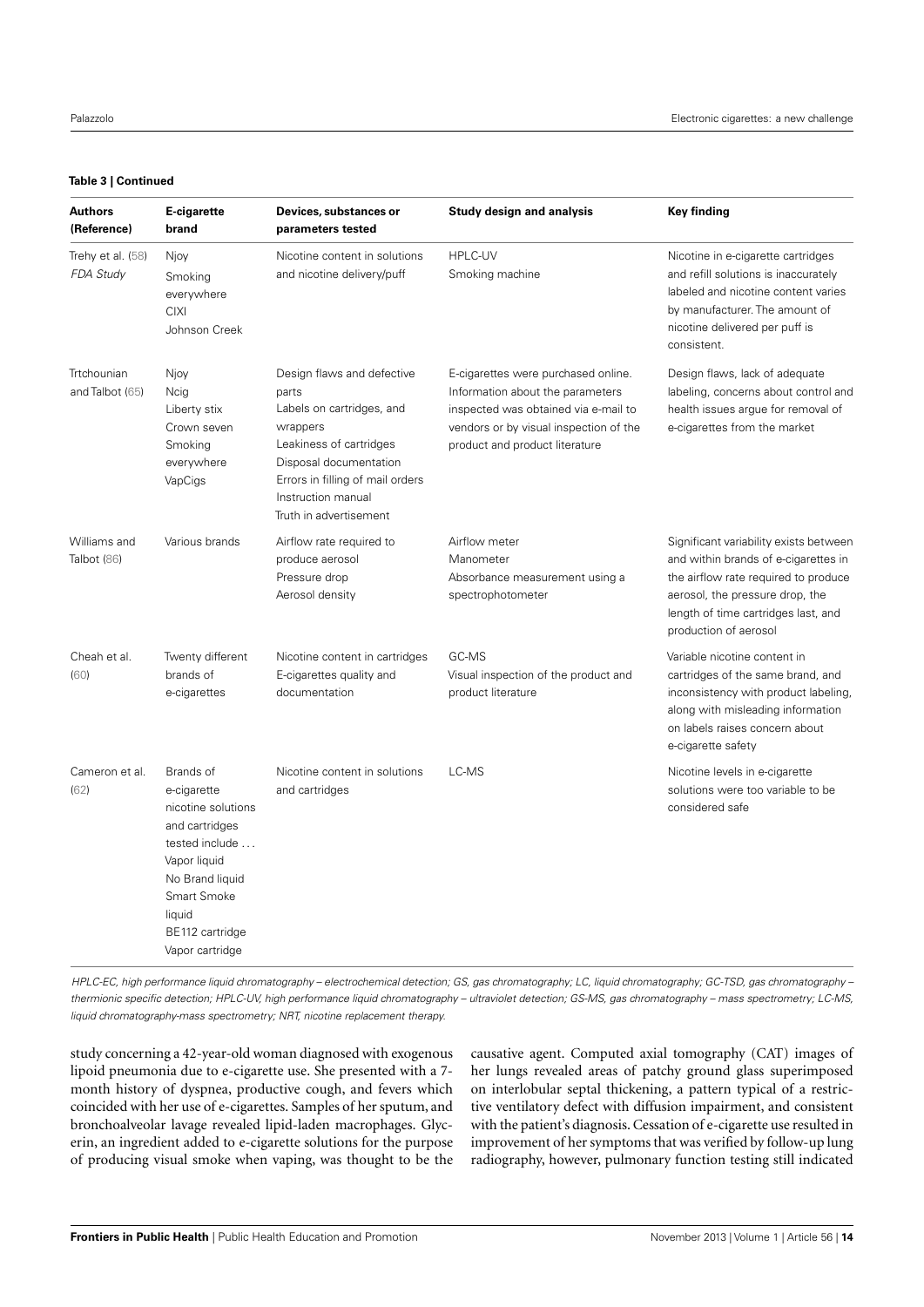#### **Table 3 | Continued**

| <b>Authors</b><br>(Reference)  | E-cigarette<br>brand                                                                                                                                                                 | Devices, substances or<br>parameters tested                                                                                                                                                                           | <b>Study design and analysis</b>                                                                                                                                                            | Key finding                                                                                                                                                                                                               |
|--------------------------------|--------------------------------------------------------------------------------------------------------------------------------------------------------------------------------------|-----------------------------------------------------------------------------------------------------------------------------------------------------------------------------------------------------------------------|---------------------------------------------------------------------------------------------------------------------------------------------------------------------------------------------|---------------------------------------------------------------------------------------------------------------------------------------------------------------------------------------------------------------------------|
| Trehy et al. (58)<br>FDA Study | Njoy<br>Smoking<br>everywhere<br><b>CIXI</b><br>Johnson Creek                                                                                                                        | Nicotine content in solutions<br>and nicotine delivery/puff                                                                                                                                                           | HPLC-UV<br>Smoking machine                                                                                                                                                                  | Nicotine in e-cigarette cartridges<br>and refill solutions is inaccurately<br>labeled and nicotine content varies<br>by manufacturer. The amount of<br>nicotine delivered per puff is<br>consistent.                      |
| Trtchounian<br>and Talbot (65) | Njoy<br>Ncig<br>Liberty stix<br>Crown seven<br>Smoking<br>everywhere<br>VapCigs                                                                                                      | Design flaws and defective<br>parts<br>Labels on cartridges, and<br>wrappers<br>Leakiness of cartridges<br>Disposal documentation<br>Errors in filling of mail orders<br>Instruction manual<br>Truth in advertisement | E-cigarettes were purchased online.<br>Information about the parameters<br>inspected was obtained via e-mail to<br>vendors or by visual inspection of the<br>product and product literature | Design flaws, lack of adequate<br>labeling, concerns about control and<br>health issues argue for removal of<br>e-cigarettes from the market                                                                              |
| Williams and<br>Talbot (86)    | Various brands                                                                                                                                                                       | Airflow rate required to<br>produce aerosol<br>Pressure drop<br>Aerosol density                                                                                                                                       | Airflow meter<br>Manometer<br>Absorbance measurement using a<br>spectrophotometer                                                                                                           | Significant variability exists between<br>and within brands of e-cigarettes in<br>the airflow rate required to produce<br>aerosol, the pressure drop, the<br>length of time cartridges last, and<br>production of aerosol |
| Cheah et al.<br>(60)           | Twenty different<br>brands of<br>e-cigarettes                                                                                                                                        | Nicotine content in cartridges<br>E-cigarettes quality and<br>documentation                                                                                                                                           | GC-MS<br>Visual inspection of the product and<br>product literature                                                                                                                         | Variable nicotine content in<br>cartridges of the same brand, and<br>inconsistency with product labeling,<br>along with misleading information<br>on labels raises concern about<br>e-cigarette safety                    |
| Cameron et al.<br>(62)         | Brands of<br>e-cigarette<br>nicotine solutions<br>and cartridges<br>tested include<br>Vapor liquid<br>No Brand liquid<br>Smart Smoke<br>liquid<br>BE112 cartridge<br>Vapor cartridge | Nicotine content in solutions<br>and cartridges                                                                                                                                                                       | LC-MS                                                                                                                                                                                       | Nicotine levels in e-cigarette<br>solutions were too variable to be<br>considered safe                                                                                                                                    |

HPLC-EC, high performance liquid chromatography – electrochemical detection; GS, gas chromatography; LC, liquid chromatography; GC-TSD, gas chromatography – thermionic specific detection; HPLC-UV, high performance liquid chromatography – ultraviolet detection; GS-MS, gas chromatography – mass spectrometry; LC-MS, liquid chromatography-mass spectrometry; NRT, nicotine replacement therapy.

study concerning a 42-year-old woman diagnosed with exogenous lipoid pneumonia due to e-cigarette use. She presented with a 7 month history of dyspnea, productive cough, and fevers which coincided with her use of e-cigarettes. Samples of her sputum, and bronchoalveolar lavage revealed lipid-laden macrophages. Glycerin, an ingredient added to e-cigarette solutions for the purpose of producing visual smoke when vaping, was thought to be the causative agent. Computed axial tomography (CAT) images of her lungs revealed areas of patchy ground glass superimposed on interlobular septal thickening, a pattern typical of a restrictive ventilatory defect with diffusion impairment, and consistent with the patient's diagnosis. Cessation of e-cigarette use resulted in improvement of her symptoms that was verified by follow-up lung radiography, however, pulmonary function testing still indicated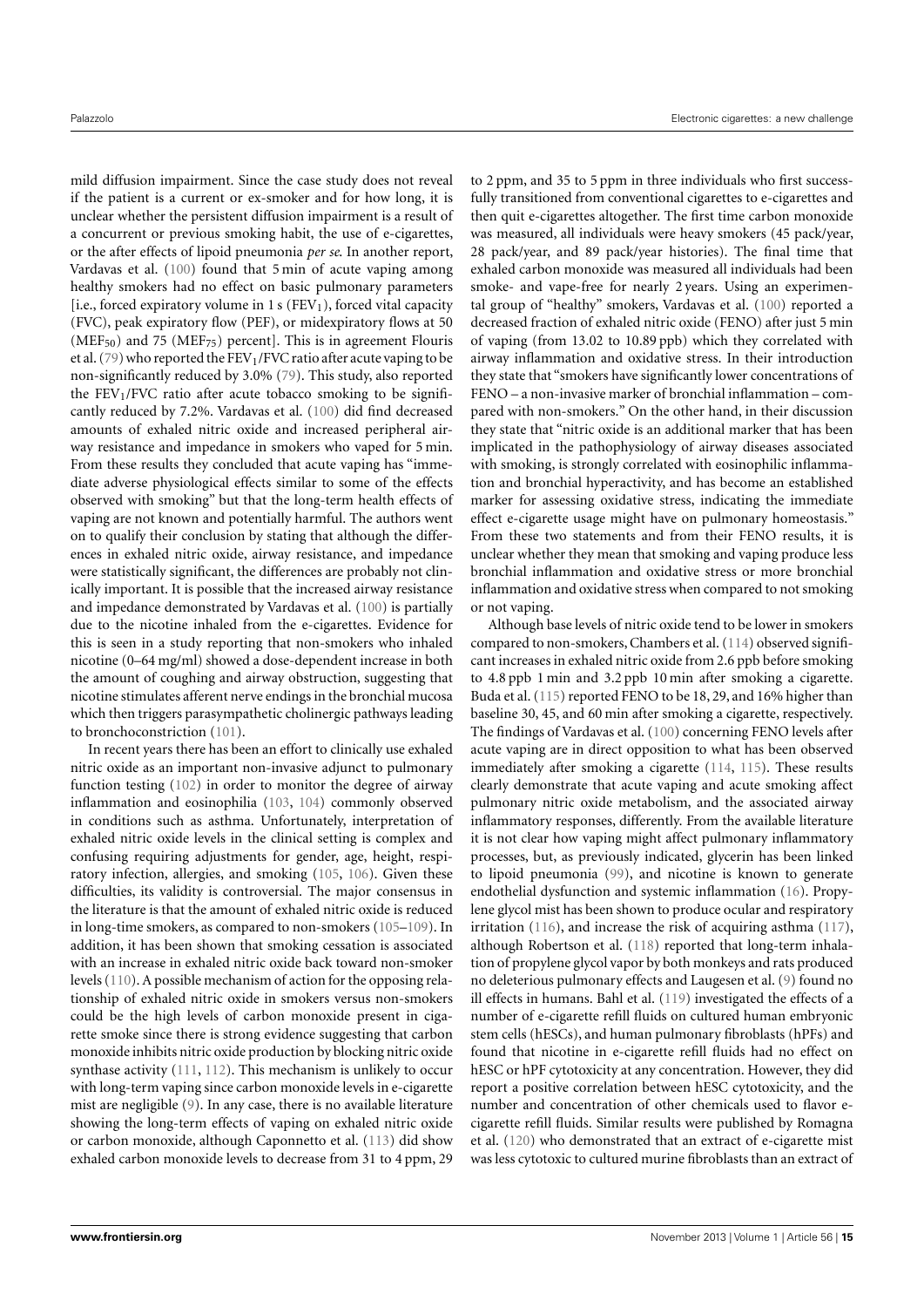mild diffusion impairment. Since the case study does not reveal if the patient is a current or ex-smoker and for how long, it is unclear whether the persistent diffusion impairment is a result of a concurrent or previous smoking habit, the use of e-cigarettes, or the after effects of lipoid pneumonia *per se*. In another report, Vardavas et al. [\(100\)](#page-18-37) found that 5 min of acute vaping among healthy smokers had no effect on basic pulmonary parameters [i.e., forced expiratory volume in 1 s ( $FEV<sub>1</sub>$ ), forced vital capacity (FVC), peak expiratory flow (PEF), or midexpiratory flows at 50 (MEF $_{50}$ ) and 75 (MEF $_{75}$ ) percent]. This is in agreement Flouris et al. [\(79\)](#page-18-16) who reported the  $FEV<sub>1</sub>/FVC$  ratio after acute vaping to be non-significantly reduced by 3.0% [\(79\)](#page-18-16). This study, also reported the  $FEV<sub>1</sub>/FVC$  ratio after acute tobacco smoking to be significantly reduced by 7.2%. Vardavas et al. [\(100\)](#page-18-37) did find decreased amounts of exhaled nitric oxide and increased peripheral airway resistance and impedance in smokers who vaped for 5 min. From these results they concluded that acute vaping has "immediate adverse physiological effects similar to some of the effects observed with smoking" but that the long-term health effects of vaping are not known and potentially harmful. The authors went on to qualify their conclusion by stating that although the differences in exhaled nitric oxide, airway resistance, and impedance were statistically significant, the differences are probably not clinically important. It is possible that the increased airway resistance and impedance demonstrated by Vardavas et al. [\(100\)](#page-18-37) is partially due to the nicotine inhaled from the e-cigarettes. Evidence for this is seen in a study reporting that non-smokers who inhaled nicotine (0–64 mg/ml) showed a dose-dependent increase in both the amount of coughing and airway obstruction, suggesting that nicotine stimulates afferent nerve endings in the bronchial mucosa which then triggers parasympathetic cholinergic pathways leading to bronchoconstriction [\(101\)](#page-18-38).

In recent years there has been an effort to clinically use exhaled nitric oxide as an important non-invasive adjunct to pulmonary function testing [\(102\)](#page-18-39) in order to monitor the degree of airway inflammation and eosinophilia [\(103,](#page-18-40) [104\)](#page-18-41) commonly observed in conditions such as asthma. Unfortunately, interpretation of exhaled nitric oxide levels in the clinical setting is complex and confusing requiring adjustments for gender, age, height, respiratory infection, allergies, and smoking [\(105,](#page-18-42) [106\)](#page-18-43). Given these difficulties, its validity is controversial. The major consensus in the literature is that the amount of exhaled nitric oxide is reduced in long-time smokers, as compared to non-smokers [\(105–](#page-18-42)[109\)](#page-19-0). In addition, it has been shown that smoking cessation is associated with an increase in exhaled nitric oxide back toward non-smoker levels [\(110\)](#page-19-1). A possible mechanism of action for the opposing relationship of exhaled nitric oxide in smokers versus non-smokers could be the high levels of carbon monoxide present in cigarette smoke since there is strong evidence suggesting that carbon monoxide inhibits nitric oxide production by blocking nitric oxide synthase activity [\(111,](#page-19-2) [112\)](#page-19-3). This mechanism is unlikely to occur with long-term vaping since carbon monoxide levels in e-cigarette mist are negligible [\(9\)](#page-16-8). In any case, there is no available literature showing the long-term effects of vaping on exhaled nitric oxide or carbon monoxide, although Caponnetto et al. [\(113\)](#page-19-4) did show exhaled carbon monoxide levels to decrease from 31 to 4 ppm, 29

to 2 ppm, and 35 to 5 ppm in three individuals who first successfully transitioned from conventional cigarettes to e-cigarettes and then quit e-cigarettes altogether. The first time carbon monoxide was measured, all individuals were heavy smokers (45 pack/year, 28 pack/year, and 89 pack/year histories). The final time that exhaled carbon monoxide was measured all individuals had been smoke- and vape-free for nearly 2 years. Using an experimental group of "healthy" smokers, Vardavas et al. [\(100\)](#page-18-37) reported a decreased fraction of exhaled nitric oxide (FENO) after just 5 min of vaping (from 13.02 to 10.89 ppb) which they correlated with airway inflammation and oxidative stress. In their introduction they state that "smokers have significantly lower concentrations of FENO – a non-invasive marker of bronchial inflammation – compared with non-smokers." On the other hand, in their discussion they state that "nitric oxide is an additional marker that has been implicated in the pathophysiology of airway diseases associated with smoking, is strongly correlated with eosinophilic inflammation and bronchial hyperactivity, and has become an established marker for assessing oxidative stress, indicating the immediate effect e-cigarette usage might have on pulmonary homeostasis." From these two statements and from their FENO results, it is unclear whether they mean that smoking and vaping produce less bronchial inflammation and oxidative stress or more bronchial inflammation and oxidative stress when compared to not smoking or not vaping.

Although base levels of nitric oxide tend to be lower in smokers compared to non-smokers, Chambers et al. [\(114\)](#page-19-5) observed significant increases in exhaled nitric oxide from 2.6 ppb before smoking to 4.8 ppb 1 min and 3.2 ppb 10 min after smoking a cigarette. Buda et al. [\(115\)](#page-19-6) reported FENO to be 18, 29, and 16% higher than baseline 30, 45, and 60 min after smoking a cigarette, respectively. The findings of Vardavas et al. [\(100\)](#page-18-37) concerning FENO levels after acute vaping are in direct opposition to what has been observed immediately after smoking a cigarette [\(114,](#page-19-5) [115\)](#page-19-6). These results clearly demonstrate that acute vaping and acute smoking affect pulmonary nitric oxide metabolism, and the associated airway inflammatory responses, differently. From the available literature it is not clear how vaping might affect pulmonary inflammatory processes, but, as previously indicated, glycerin has been linked to lipoid pneumonia [\(99\)](#page-18-36), and nicotine is known to generate endothelial dysfunction and systemic inflammation [\(16\)](#page-16-15). Propylene glycol mist has been shown to produce ocular and respiratory irritation [\(116\)](#page-19-7), and increase the risk of acquiring asthma [\(117\)](#page-19-8), although Robertson et al. [\(118\)](#page-19-9) reported that long-term inhalation of propylene glycol vapor by both monkeys and rats produced no deleterious pulmonary effects and Laugesen et al. [\(9\)](#page-16-8) found no ill effects in humans. Bahl et al. [\(119\)](#page-19-10) investigated the effects of a number of e-cigarette refill fluids on cultured human embryonic stem cells (hESCs), and human pulmonary fibroblasts (hPFs) and found that nicotine in e-cigarette refill fluids had no effect on hESC or hPF cytotoxicity at any concentration. However, they did report a positive correlation between hESC cytotoxicity, and the number and concentration of other chemicals used to flavor ecigarette refill fluids. Similar results were published by Romagna et al. [\(120\)](#page-19-11) who demonstrated that an extract of e-cigarette mist was less cytotoxic to cultured murine fibroblasts than an extract of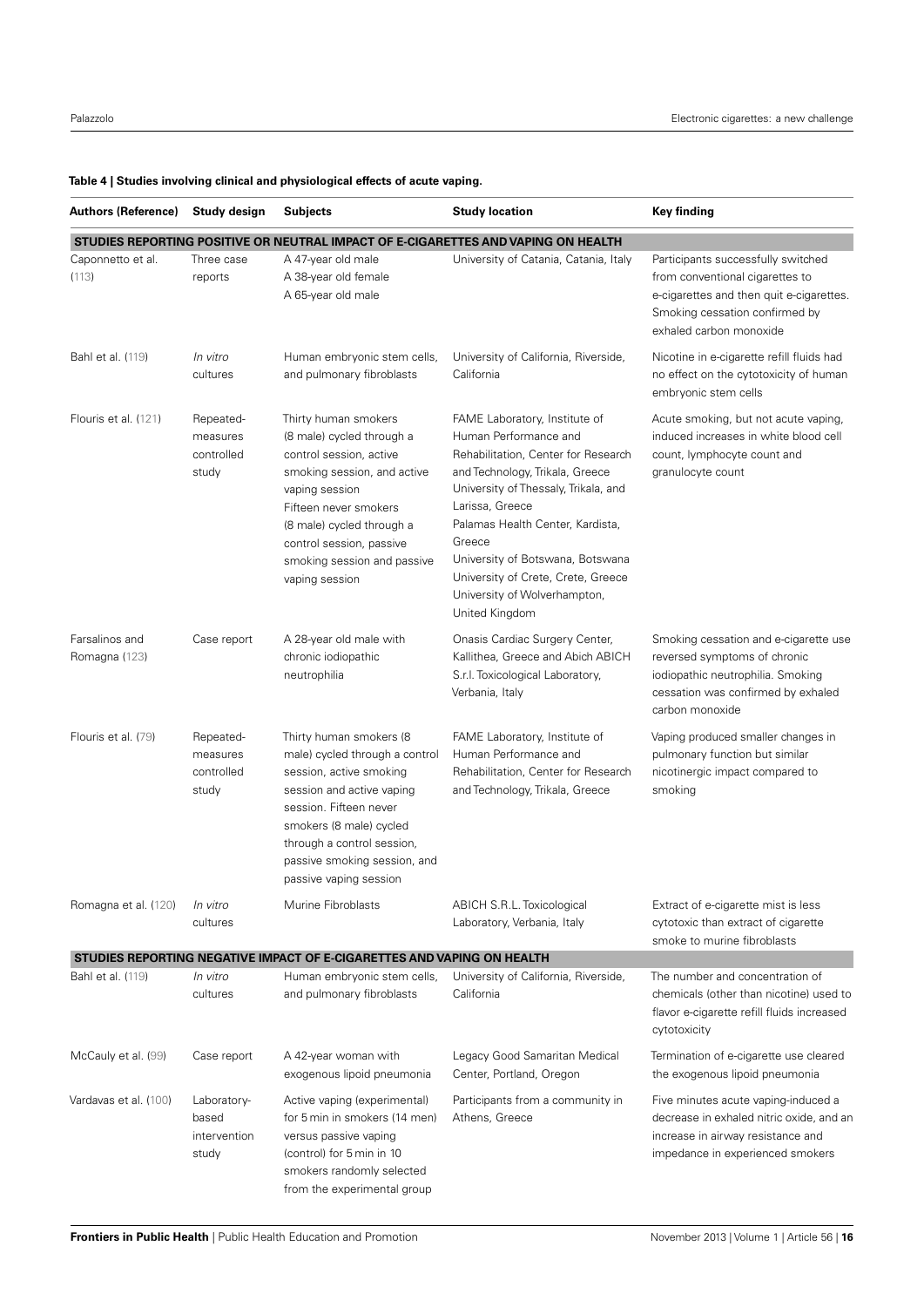| <b>Authors (Reference)</b>      | Study design                                  | <b>Subjects</b>                                                                                                                                                                                                                                                  | <b>Study location</b>                                                                                                                                                                                                                                                                                                                                                 | Key finding                                                                                                                                                                    |
|---------------------------------|-----------------------------------------------|------------------------------------------------------------------------------------------------------------------------------------------------------------------------------------------------------------------------------------------------------------------|-----------------------------------------------------------------------------------------------------------------------------------------------------------------------------------------------------------------------------------------------------------------------------------------------------------------------------------------------------------------------|--------------------------------------------------------------------------------------------------------------------------------------------------------------------------------|
|                                 |                                               |                                                                                                                                                                                                                                                                  | STUDIES REPORTING POSITIVE OR NEUTRAL IMPACT OF E-CIGARETTES AND VAPING ON HEALTH                                                                                                                                                                                                                                                                                     |                                                                                                                                                                                |
| Caponnetto et al.<br>(113)      | Three case<br>reports                         | A 47-year old male<br>A 38-year old female<br>A 65-year old male                                                                                                                                                                                                 | University of Catania, Catania, Italy                                                                                                                                                                                                                                                                                                                                 | Participants successfully switched<br>from conventional cigarettes to<br>e-cigarettes and then quit e-cigarettes.<br>Smoking cessation confirmed by<br>exhaled carbon monoxide |
| <b>Bahl et al. (119)</b>        | In vitro<br>cultures                          | Human embryonic stem cells,<br>and pulmonary fibroblasts                                                                                                                                                                                                         | University of California, Riverside,<br>California                                                                                                                                                                                                                                                                                                                    | Nicotine in e-cigarette refill fluids had<br>no effect on the cytotoxicity of human<br>embryonic stem cells                                                                    |
| Flouris et al. (121)            | Repeated-<br>measures<br>controlled<br>study  | Thirty human smokers<br>(8 male) cycled through a<br>control session, active<br>smoking session, and active<br>vaping session<br>Fifteen never smokers<br>(8 male) cycled through a<br>control session, passive<br>smoking session and passive<br>vaping session | FAME Laboratory, Institute of<br>Human Performance and<br>Rehabilitation, Center for Research<br>and Technology, Trikala, Greece<br>University of Thessaly, Trikala, and<br>Larissa, Greece<br>Palamas Health Center, Kardista,<br>Greece<br>University of Botswana, Botswana<br>University of Crete, Crete, Greece<br>University of Wolverhampton,<br>United Kingdom | Acute smoking, but not acute vaping,<br>induced increases in white blood cell<br>count, lymphocyte count and<br>granulocyte count                                              |
| Farsalinos and<br>Romagna (123) | Case report                                   | A 28-year old male with<br>chronic iodiopathic<br>neutrophilia                                                                                                                                                                                                   | Onasis Cardiac Surgery Center,<br>Kallithea, Greece and Abich ABICH<br>S.r.l. Toxicological Laboratory,<br>Verbania, Italy                                                                                                                                                                                                                                            | Smoking cessation and e-cigarette use<br>reversed symptoms of chronic<br>iodiopathic neutrophilia. Smoking<br>cessation was confirmed by exhaled<br>carbon monoxide            |
| Flouris et al. (79)             | Repeated-<br>measures<br>controlled<br>study  | Thirty human smokers (8<br>male) cycled through a control<br>session, active smoking<br>session and active vaping<br>session. Fifteen never<br>smokers (8 male) cycled<br>through a control session,<br>passive smoking session, and<br>passive vaping session   | FAME Laboratory, Institute of<br>Human Performance and<br>Rehabilitation, Center for Research<br>and Technology, Trikala, Greece                                                                                                                                                                                                                                      | Vaping produced smaller changes in<br>pulmonary function but similar<br>nicotinergic impact compared to<br>smoking                                                             |
| Romagna et al. (120)            | In vitro<br>cultures                          | Murine Fibroblasts                                                                                                                                                                                                                                               | ABICH S.R.L. Toxicological<br>Laboratory, Verbania, Italy                                                                                                                                                                                                                                                                                                             | Extract of e-cigarette mist is less<br>cytotoxic than extract of cigarette<br>smoke to murine fibroblasts                                                                      |
|                                 |                                               | STUDIES REPORTING NEGATIVE IMPACT OF E-CIGARETTES AND VAPING ON HEALTH                                                                                                                                                                                           |                                                                                                                                                                                                                                                                                                                                                                       |                                                                                                                                                                                |
| Bahl et al. (119)               | In vitro<br>cultures                          | Human embryonic stem cells,<br>and pulmonary fibroblasts                                                                                                                                                                                                         | University of California, Riverside,<br>California                                                                                                                                                                                                                                                                                                                    | The number and concentration of<br>chemicals (other than nicotine) used to<br>flavor e-cigarette refill fluids increased<br>cytotoxicity                                       |
| McCauly et al. (99)             | Case report                                   | A 42-year woman with<br>exogenous lipoid pneumonia                                                                                                                                                                                                               | Legacy Good Samaritan Medical<br>Center, Portland, Oregon                                                                                                                                                                                                                                                                                                             | Termination of e-cigarette use cleared<br>the exogenous lipoid pneumonia                                                                                                       |
| Vardavas et al. (100)           | Laboratory-<br>based<br>intervention<br>study | Active vaping (experimental)<br>for 5 min in smokers (14 men)<br>versus passive vaping<br>(control) for 5 min in 10<br>smokers randomly selected<br>from the experimental group                                                                                  | Participants from a community in<br>Athens, Greece                                                                                                                                                                                                                                                                                                                    | Five minutes acute vaping-induced a<br>decrease in exhaled nitric oxide, and an<br>increase in airway resistance and<br>impedance in experienced smokers                       |

# <span id="page-15-0"></span>**Table 4 | Studies involving clinical and physiological effects of acute vaping.**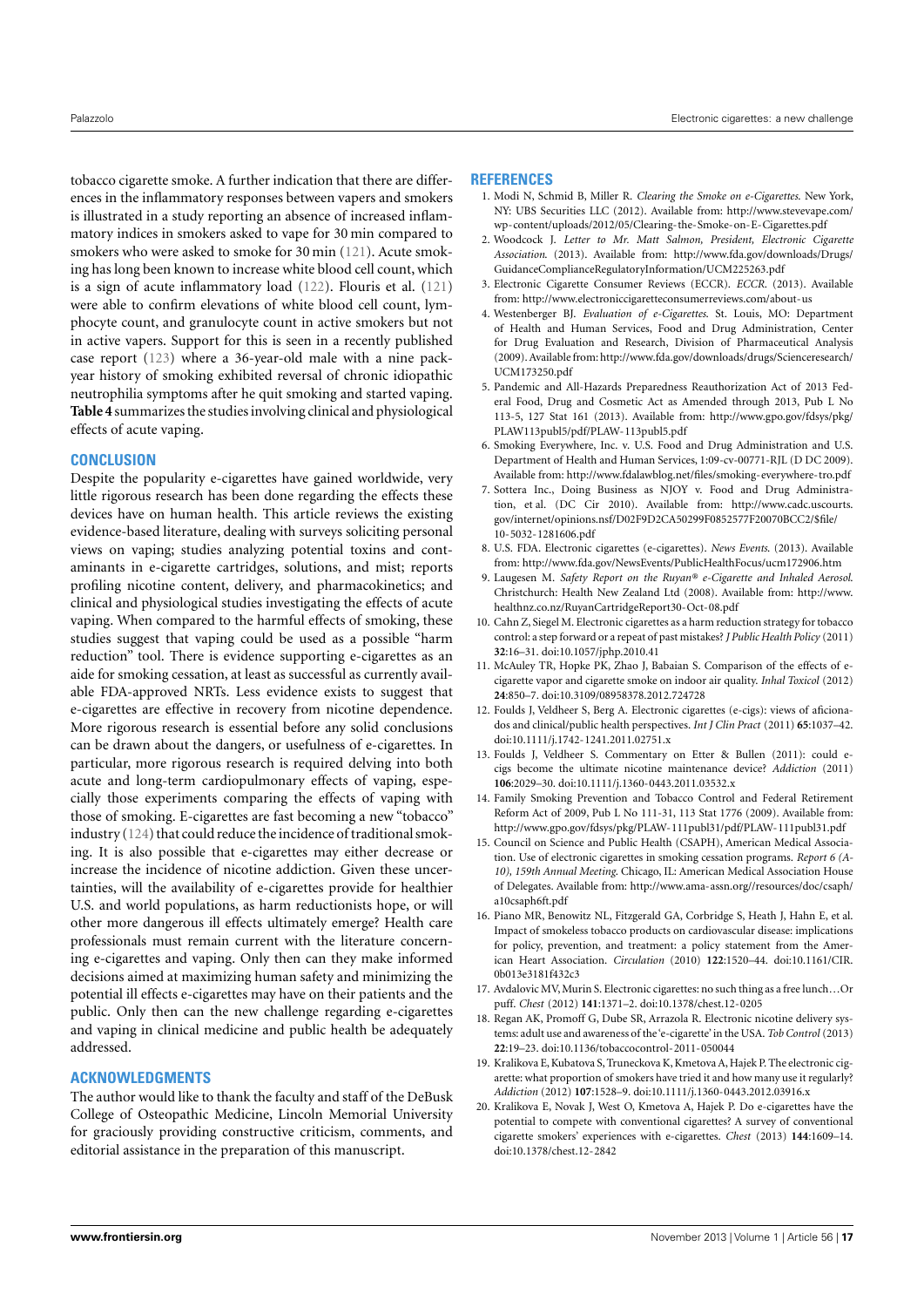tobacco cigarette smoke. A further indication that there are differences in the inflammatory responses between vapers and smokers is illustrated in a study reporting an absence of increased inflammatory indices in smokers asked to vape for 30 min compared to smokers who were asked to smoke for 30 min [\(121\)](#page-19-12). Acute smoking has long been known to increase white blood cell count, which is a sign of acute inflammatory load [\(122\)](#page-19-14). Flouris et al. [\(121\)](#page-19-12) were able to confirm elevations of white blood cell count, lymphocyte count, and granulocyte count in active smokers but not in active vapers. Support for this is seen in a recently published case report [\(123\)](#page-19-13) where a 36-year-old male with a nine packyear history of smoking exhibited reversal of chronic idiopathic neutrophilia symptoms after he quit smoking and started vaping. **[Table 4](#page-15-0)** summarizes the studies involving clinical and physiological effects of acute vaping.

### **CONCLUSION**

Despite the popularity e-cigarettes have gained worldwide, very little rigorous research has been done regarding the effects these devices have on human health. This article reviews the existing evidence-based literature, dealing with surveys soliciting personal views on vaping; studies analyzing potential toxins and contaminants in e-cigarette cartridges, solutions, and mist; reports profiling nicotine content, delivery, and pharmacokinetics; and clinical and physiological studies investigating the effects of acute vaping. When compared to the harmful effects of smoking, these studies suggest that vaping could be used as a possible "harm reduction" tool. There is evidence supporting e-cigarettes as an aide for smoking cessation, at least as successful as currently available FDA-approved NRTs. Less evidence exists to suggest that e-cigarettes are effective in recovery from nicotine dependence. More rigorous research is essential before any solid conclusions can be drawn about the dangers, or usefulness of e-cigarettes. In particular, more rigorous research is required delving into both acute and long-term cardiopulmonary effects of vaping, especially those experiments comparing the effects of vaping with those of smoking. E-cigarettes are fast becoming a new "tobacco" industry [\(124\)](#page-19-15) that could reduce the incidence of traditional smoking. It is also possible that e-cigarettes may either decrease or increase the incidence of nicotine addiction. Given these uncertainties, will the availability of e-cigarettes provide for healthier U.S. and world populations, as harm reductionists hope, or will other more dangerous ill effects ultimately emerge? Health care professionals must remain current with the literature concerning e-cigarettes and vaping. Only then can they make informed decisions aimed at maximizing human safety and minimizing the potential ill effects e-cigarettes may have on their patients and the public. Only then can the new challenge regarding e-cigarettes and vaping in clinical medicine and public health be adequately addressed.

## **ACKNOWLEDGMENTS**

The author would like to thank the faculty and staff of the DeBusk College of Osteopathic Medicine, Lincoln Memorial University for graciously providing constructive criticism, comments, and editorial assistance in the preparation of this manuscript.

#### **REFERENCES**

- <span id="page-16-0"></span>1. Modi N, Schmid B, Miller R. *Clearing the Smoke on e-Cigarettes*. New York, NY: UBS Securities LLC (2012). Available from: [http://www.stevevape.com/](http://www.stevevape.com/wp-content/uploads/2012/05/Clearing-the-Smoke-on-E-Cigarettes.pdf) [wp-content/uploads/2012/05/Clearing-the-Smoke-on-E-Cigarettes.pdf](http://www.stevevape.com/wp-content/uploads/2012/05/Clearing-the-Smoke-on-E-Cigarettes.pdf)
- <span id="page-16-1"></span>2. Woodcock J. *Letter to Mr. Matt Salmon, President, Electronic Cigarette Association*. (2013). Available from: [http://www.fda.gov/downloads/Drugs/](http://www.fda.gov/downloads/Drugs/GuidanceComplianceRegulatoryInformation/UCM225263.pdf) [GuidanceComplianceRegulatoryInformation/UCM225263.pdf](http://www.fda.gov/downloads/Drugs/GuidanceComplianceRegulatoryInformation/UCM225263.pdf)
- <span id="page-16-2"></span>3. Electronic Cigarette Consumer Reviews (ECCR). *ECCR*. (2013). Available from:<http://www.electroniccigaretteconsumerreviews.com/about-us>
- <span id="page-16-3"></span>4. Westenberger BJ. *Evaluation of e-Cigarettes*. St. Louis, MO: Department of Health and Human Services, Food and Drug Administration, Center for Drug Evaluation and Research, Division of Pharmaceutical Analysis (2009). Available from: [http://www.fda.gov/downloads/drugs/Scienceresearch/](http://www.fda.gov/downloads/drugs/Scienceresearch/UCM173250.pdf) [UCM173250.pdf](http://www.fda.gov/downloads/drugs/Scienceresearch/UCM173250.pdf)
- <span id="page-16-4"></span>5. Pandemic and All-Hazards Preparedness Reauthorization Act of 2013 Federal Food, Drug and Cosmetic Act as Amended through 2013, Pub L No 113-5, 127 Stat 161 (2013). Available from: [http://www.gpo.gov/fdsys/pkg/](http://www.gpo.gov/fdsys/pkg/PLAW113publ5/pdf/PLAW-113publ5.pdf) [PLAW113publ5/pdf/PLAW-113publ5.pdf](http://www.gpo.gov/fdsys/pkg/PLAW113publ5/pdf/PLAW-113publ5.pdf)
- <span id="page-16-5"></span>6. Smoking Everywhere, Inc. v. U.S. Food and Drug Administration and U.S. Department of Health and Human Services, 1:09-cv-00771-RJL (D DC 2009). Available from:<http://www.fdalawblog.net/files/smoking-everywhere-tro.pdf>
- <span id="page-16-6"></span>7. Sottera Inc., Doing Business as NJOY v. Food and Drug Administration, et al. (DC Cir 2010). Available from: [http://www.cadc.uscourts.](http://www.cadc.uscourts.gov/internet/opinions.nsf/D02F9D2CA50299F0852577F20070BCC2/$file/10-5032-1281606.pdf) [gov/internet/opinions.nsf/D02F9D2CA50299F0852577F20070BCC2/\\$file/](http://www.cadc.uscourts.gov/internet/opinions.nsf/D02F9D2CA50299F0852577F20070BCC2/$file/10-5032-1281606.pdf) [10-5032-1281606.pdf](http://www.cadc.uscourts.gov/internet/opinions.nsf/D02F9D2CA50299F0852577F20070BCC2/$file/10-5032-1281606.pdf)
- <span id="page-16-7"></span>8. U.S. FDA. Electronic cigarettes (e-cigarettes). *News Events*. (2013). Available from:<http://www.fda.gov/NewsEvents/PublicHealthFocus/ucm172906.htm>
- <span id="page-16-8"></span>9. Laugesen M. *Safety Report on the Ruyan® e-Cigarette and Inhaled Aerosol*. Christchurch: Health New Zealand Ltd (2008). Available from: [http://www.](http://www.healthnz.co.nz/RuyanCartridgeReport30-Oct-08.pdf) [healthnz.co.nz/RuyanCartridgeReport30-Oct-08.pdf](http://www.healthnz.co.nz/RuyanCartridgeReport30-Oct-08.pdf)
- <span id="page-16-9"></span>10. Cahn Z, Siegel M. Electronic cigarettes as a harm reduction strategy for tobacco control: a step forward or a repeat of past mistakes?*J Public Health Policy* (2011) **32**:16–31. doi[:10.1057/jphp.2010.41](http://dx.doi.org/10.1057/jphp.2010.41)
- <span id="page-16-10"></span>11. McAuley TR, Hopke PK, Zhao J, Babaian S. Comparison of the effects of ecigarette vapor and cigarette smoke on indoor air quality. *Inhal Toxicol* (2012) **24**:850–7. doi[:10.3109/08958378.2012.724728](http://dx.doi.org/10.3109/08958378.2012.724728)
- <span id="page-16-11"></span>12. Foulds J, Veldheer S, Berg A. Electronic cigarettes (e-cigs): views of aficionados and clinical/public health perspectives. *Int J Clin Pract* (2011) **65**:1037–42. doi[:10.1111/j.1742-1241.2011.02751.x](http://dx.doi.org/10.1111/j.1742-1241.2011.02751.x)
- <span id="page-16-12"></span>13. Foulds J, Veldheer S. Commentary on Etter & Bullen (2011): could ecigs become the ultimate nicotine maintenance device? *Addiction* (2011) **106**:2029–30. doi[:10.1111/j.1360-0443.2011.03532.x](http://dx.doi.org/10.1111/j.1360-0443.2011.03532.x)
- <span id="page-16-13"></span>14. Family Smoking Prevention and Tobacco Control and Federal Retirement Reform Act of 2009, Pub L No 111-31, 113 Stat 1776 (2009). Available from: <http://www.gpo.gov/fdsys/pkg/PLAW-111publ31/pdf/PLAW-111publ31.pdf>
- <span id="page-16-14"></span>15. Council on Science and Public Health (CSAPH), American Medical Association. Use of electronic cigarettes in smoking cessation programs. *Report 6 (A-10), 159th Annual Meeting*. Chicago, IL: American Medical Association House of Delegates. Available from: [http://www.ama-assn.org//resources/doc/csaph/](http://www.ama-assn.org//resources/doc/csaph/a10csaph6ft.pdf) [a10csaph6ft.pdf](http://www.ama-assn.org//resources/doc/csaph/a10csaph6ft.pdf)
- <span id="page-16-15"></span>16. Piano MR, Benowitz NL, Fitzgerald GA, Corbridge S, Heath J, Hahn E, et al. Impact of smokeless tobacco products on cardiovascular disease: implications for policy, prevention, and treatment: a policy statement from the American Heart Association. *Circulation* (2010) **122**:1520–44. doi[:10.1161/CIR.](http://dx.doi.org/10.1161/CIR.0b013e3181f432c3) [0b013e3181f432c3](http://dx.doi.org/10.1161/CIR.0b013e3181f432c3)
- <span id="page-16-16"></span>17. Avdalovic MV, Murin S. Electronic cigarettes: no such thing as a free lunch…Or puff. *Chest* (2012) **141**:1371–2. doi[:10.1378/chest.12-0205](http://dx.doi.org/10.1378/chest.12-0205)
- <span id="page-16-17"></span>18. Regan AK, Promoff G, Dube SR, Arrazola R. Electronic nicotine delivery systems: adult use and awareness of the'e-cigarette' in the USA.*Tob Control* (2013) **22**:19–23. doi[:10.1136/tobaccocontrol-2011-050044](http://dx.doi.org/10.1136/tobaccocontrol-2011-050044)
- <span id="page-16-18"></span>19. Kralikova E, Kubatova S, Truneckova K, Kmetova A, Hajek P. The electronic cigarette: what proportion of smokers have tried it and how many use it regularly? *Addiction* (2012) **107**:1528–9. doi[:10.1111/j.1360-0443.2012.03916.x](http://dx.doi.org/10.1111/j.1360-0443.2012.03916.x)
- <span id="page-16-19"></span>20. Kralikova E, Novak J, West O, Kmetova A, Hajek P. Do e-cigarettes have the potential to compete with conventional cigarettes? A survey of conventional cigarette smokers' experiences with e-cigarettes. *Chest* (2013) **144**:1609–14. doi[:10.1378/chest.12-2842](http://dx.doi.org/10.1378/chest.12-2842)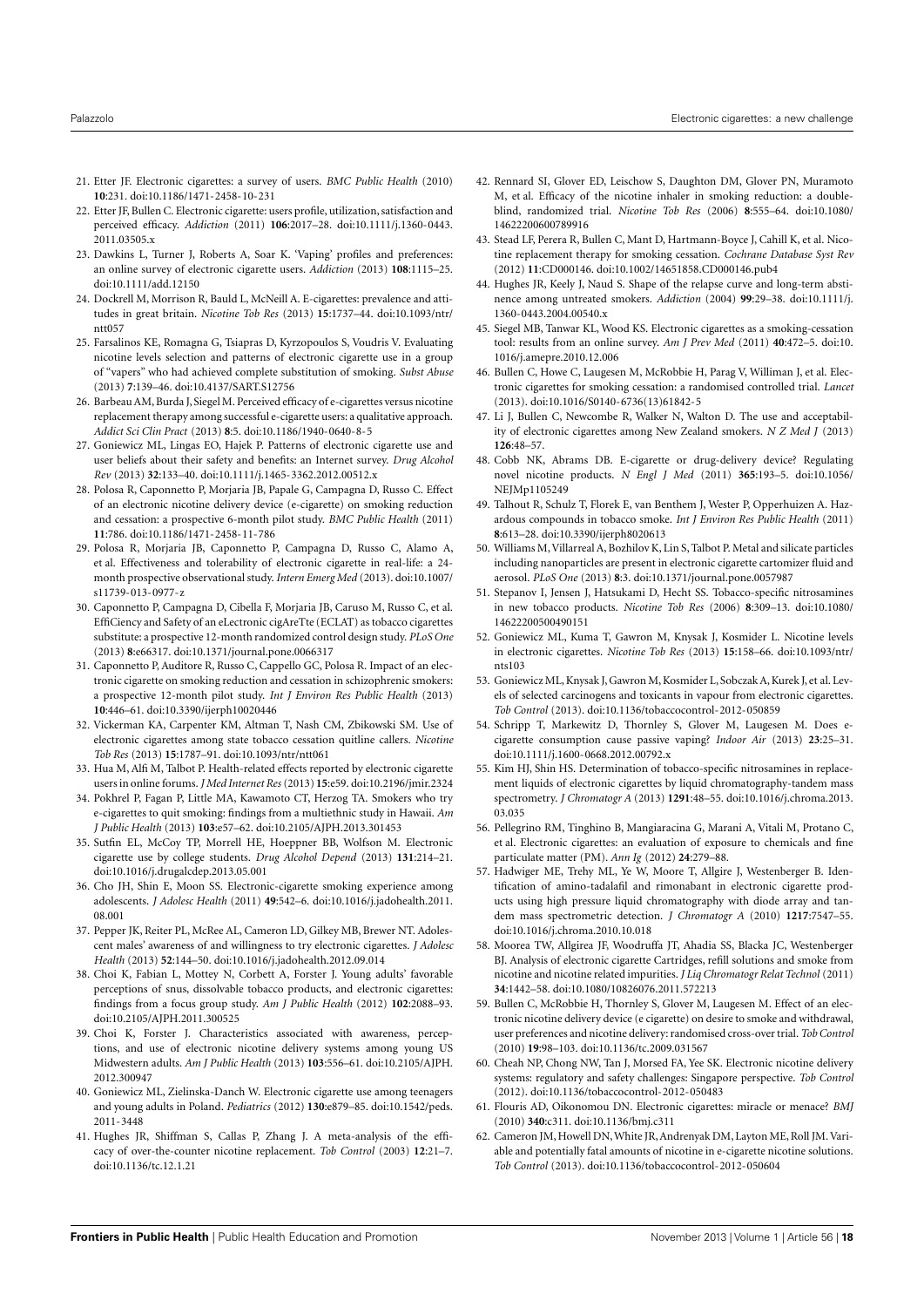- <span id="page-17-0"></span>21. Etter JF. Electronic cigarettes: a survey of users. *BMC Public Health* (2010) **10**:231. doi[:10.1186/1471-2458-10-231](http://dx.doi.org/10.1186/1471-2458-10-231)
- <span id="page-17-36"></span>22. Etter JF, Bullen C. Electronic cigarette: users profile, utilization, satisfaction and perceived efficacy. *Addiction* (2011) **106**:2017–28. doi[:10.1111/j.1360-0443.](http://dx.doi.org/10.1111/j.1360-0443.2011.03505.x) [2011.03505.x](http://dx.doi.org/10.1111/j.1360-0443.2011.03505.x)
- <span id="page-17-2"></span>23. Dawkins L, Turner J, Roberts A, Soar K. 'Vaping' profiles and preferences: an online survey of electronic cigarette users. *Addiction* (2013) **108**:1115–25. doi[:10.1111/add.12150](http://dx.doi.org/10.1111/add.12150)
- <span id="page-17-37"></span>24. Dockrell M, Morrison R, Bauld L, McNeill A. E-cigarettes: prevalence and attitudes in great britain. *Nicotine Tob Res* (2013) **15**:1737–44. doi[:10.1093/ntr/](http://dx.doi.org/10.1093/ntr/ntt057) [ntt057](http://dx.doi.org/10.1093/ntr/ntt057)
- <span id="page-17-1"></span>25. Farsalinos KE, Romagna G, Tsiapras D, Kyrzopoulos S, Voudris V. Evaluating nicotine levels selection and patterns of electronic cigarette use in a group of "vapers" who had achieved complete substitution of smoking. *Subst Abuse* (2013) **7**:139–46. doi[:10.4137/SART.S12756](http://dx.doi.org/10.4137/SART.S12756)
- <span id="page-17-3"></span>26. Barbeau AM, Burda J, Siegel M. Perceived efficacy of e-cigarettes versus nicotine replacement therapy among successful e-cigarette users: a qualitative approach. *Addict Sci Clin Pract* (2013) **8**:5. doi[:10.1186/1940-0640-8-5](http://dx.doi.org/10.1186/1940-0640-8-5)
- <span id="page-17-4"></span>27. Goniewicz ML, Lingas EO, Hajek P. Patterns of electronic cigarette use and user beliefs about their safety and benefits: an Internet survey. *Drug Alcohol Rev* (2013) **32**:133–40. doi[:10.1111/j.1465-3362.2012.00512.x](http://dx.doi.org/10.1111/j.1465-3362.2012.00512.x)
- <span id="page-17-5"></span>28. Polosa R, Caponnetto P, Morjaria JB, Papale G, Campagna D, Russo C. Effect of an electronic nicotine delivery device (e-cigarette) on smoking reduction and cessation: a prospective 6-month pilot study. *BMC Public Health* (2011) **11**:786. doi[:10.1186/1471-2458-11-786](http://dx.doi.org/10.1186/1471-2458-11-786)
- <span id="page-17-6"></span>29. Polosa R, Morjaria JB, Caponnetto P, Campagna D, Russo C, Alamo A, et al. Effectiveness and tolerability of electronic cigarette in real-life: a 24 month prospective observational study. *Intern Emerg Med* (2013). doi[:10.1007/](http://dx.doi.org/10.1007/s11739-013-0977-z) [s11739-013-0977-z](http://dx.doi.org/10.1007/s11739-013-0977-z)
- <span id="page-17-7"></span>30. Caponnetto P, Campagna D, Cibella F, Morjaria JB, Caruso M, Russo C, et al. EffiCiency and Safety of an eLectronic cigAreTte (ECLAT) as tobacco cigarettes substitute: a prospective 12-month randomized control design study. *PLoS One* (2013) **8**:e66317. doi[:10.1371/journal.pone.0066317](http://dx.doi.org/10.1371/journal.pone.0066317)
- <span id="page-17-8"></span>31. Caponnetto P, Auditore R, Russo C, Cappello GC, Polosa R. Impact of an electronic cigarette on smoking reduction and cessation in schizophrenic smokers: a prospective 12-month pilot study. *Int J Environ Res Public Health* (2013) **10**:446–61. doi[:10.3390/ijerph10020446](http://dx.doi.org/10.3390/ijerph10020446)
- <span id="page-17-9"></span>32. Vickerman KA, Carpenter KM, Altman T, Nash CM, Zbikowski SM. Use of electronic cigarettes among state tobacco cessation quitline callers. *Nicotine Tob Res* (2013) **15**:1787–91. doi[:10.1093/ntr/ntt061](http://dx.doi.org/10.1093/ntr/ntt061)
- <span id="page-17-10"></span>33. Hua M, Alfi M, Talbot P. Health-related effects reported by electronic cigarette users in online forums. *J Med Internet Res* (2013) **15**:e59. doi[:10.2196/jmir.2324](http://dx.doi.org/10.2196/jmir.2324)
- <span id="page-17-11"></span>34. Pokhrel P, Fagan P, Little MA, Kawamoto CT, Herzog TA. Smokers who try e-cigarettes to quit smoking: findings from a multiethnic study in Hawaii. *Am J Public Health* (2013) **103**:e57–62. doi[:10.2105/AJPH.2013.301453](http://dx.doi.org/10.2105/AJPH.2013.301453)
- <span id="page-17-12"></span>35. Sutfin EL, McCoy TP, Morrell HE, Hoeppner BB, Wolfson M. Electronic cigarette use by college students. *Drug Alcohol Depend* (2013) **131**:214–21. doi[:10.1016/j.drugalcdep.2013.05.001](http://dx.doi.org/10.1016/j.drugalcdep.2013.05.001)
- <span id="page-17-13"></span>36. Cho JH, Shin E, Moon SS. Electronic-cigarette smoking experience among adolescents. *J Adolesc Health* (2011) **49**:542–6. doi[:10.1016/j.jadohealth.2011.](http://dx.doi.org/10.1016/j.jadohealth.2011.08.001) [08.001](http://dx.doi.org/10.1016/j.jadohealth.2011.08.001)
- <span id="page-17-14"></span>37. Pepper JK, Reiter PL, McRee AL, Cameron LD, Gilkey MB, Brewer NT. Adolescent males' awareness of and willingness to try electronic cigarettes. *J Adolesc Health* (2013) **52**:144–50. doi[:10.1016/j.jadohealth.2012.09.014](http://dx.doi.org/10.1016/j.jadohealth.2012.09.014)
- <span id="page-17-15"></span>38. Choi K, Fabian L, Mottey N, Corbett A, Forster J. Young adults' favorable perceptions of snus, dissolvable tobacco products, and electronic cigarettes: findings from a focus group study. *Am J Public Health* (2012) **102**:2088–93. doi[:10.2105/AJPH.2011.300525](http://dx.doi.org/10.2105/AJPH.2011.300525)
- <span id="page-17-16"></span>39. Choi K, Forster J. Characteristics associated with awareness, perceptions, and use of electronic nicotine delivery systems among young US Midwestern adults. *Am J Public Health* (2013) **103**:556–61. doi[:10.2105/AJPH.](http://dx.doi.org/10.2105/AJPH.2012.300947) [2012.300947](http://dx.doi.org/10.2105/AJPH.2012.300947)
- <span id="page-17-17"></span>40. Goniewicz ML, Zielinska-Danch W. Electronic cigarette use among teenagers and young adults in Poland. *Pediatrics* (2012) **130**:e879–85. doi[:10.1542/peds.](http://dx.doi.org/10.1542/peds.2011-3448) [2011-3448](http://dx.doi.org/10.1542/peds.2011-3448)
- <span id="page-17-18"></span>41. Hughes JR, Shiffman S, Callas P, Zhang J. A meta-analysis of the efficacy of over-the-counter nicotine replacement. *Tob Control* (2003) **12**:21–7. doi[:10.1136/tc.12.1.21](http://dx.doi.org/10.1136/tc.12.1.21)
- <span id="page-17-21"></span>42. Rennard SI, Glover ED, Leischow S, Daughton DM, Glover PN, Muramoto M, et al. Efficacy of the nicotine inhaler in smoking reduction: a doubleblind, randomized trial. *Nicotine Tob Res* (2006) **8**:555–64. doi[:10.1080/](http://dx.doi.org/10.1080/14622200600789916) [14622200600789916](http://dx.doi.org/10.1080/14622200600789916)
- <span id="page-17-19"></span>43. Stead LF, Perera R, Bullen C, Mant D, Hartmann-Boyce J, Cahill K, et al. Nicotine replacement therapy for smoking cessation. *Cochrane Database Syst Rev* (2012) **11**:CD000146. doi[:10.1002/14651858.CD000146.pub4](http://dx.doi.org/10.1002/14651858.CD000146.pub4)
- <span id="page-17-20"></span>44. Hughes JR, Keely J, Naud S. Shape of the relapse curve and long-term abstinence among untreated smokers. *Addiction* (2004) **99**:29–38. doi[:10.1111/j.](http://dx.doi.org/10.1111/j.1360-0443.2004.00540.x) [1360-0443.2004.00540.x](http://dx.doi.org/10.1111/j.1360-0443.2004.00540.x)
- <span id="page-17-22"></span>45. Siegel MB, Tanwar KL, Wood KS. Electronic cigarettes as a smoking-cessation tool: results from an online survey. *Am J Prev Med* (2011) **40**:472–5. doi[:10.](http://dx.doi.org/10.1016/j.amepre.2010.12.006) [1016/j.amepre.2010.12.006](http://dx.doi.org/10.1016/j.amepre.2010.12.006)
- <span id="page-17-23"></span>46. Bullen C, Howe C, Laugesen M, McRobbie H, Parag V, Williman J, et al. Electronic cigarettes for smoking cessation: a randomised controlled trial. *Lancet* (2013). doi[:10.1016/S0140-6736\(13\)61842-5](http://dx.doi.org/10.1016/S0140-6736(13)61842-5)
- <span id="page-17-24"></span>47. Li J, Bullen C, Newcombe R, Walker N, Walton D. The use and acceptability of electronic cigarettes among New Zealand smokers. *N Z Med J* (2013) **126**:48–57.
- <span id="page-17-25"></span>48. Cobb NK, Abrams DB. E-cigarette or drug-delivery device? Regulating novel nicotine products. *N Engl J Med* (2011) **365**:193–5. doi[:10.1056/](http://dx.doi.org/10.1056/NEJMp1105249) [NEJMp1105249](http://dx.doi.org/10.1056/NEJMp1105249)
- <span id="page-17-26"></span>49. Talhout R, Schulz T, Florek E, van Benthem J, Wester P, Opperhuizen A. Hazardous compounds in tobacco smoke. *Int J Environ Res Public Health* (2011) **8**:613–28. doi[:10.3390/ijerph8020613](http://dx.doi.org/10.3390/ijerph8020613)
- <span id="page-17-27"></span>50. Williams M, Villarreal A, Bozhilov K, Lin S, Talbot P. Metal and silicate particles including nanoparticles are present in electronic cigarette cartomizer fluid and aerosol. *PLoS One* (2013) **8**:3. doi[:10.1371/journal.pone.0057987](http://dx.doi.org/10.1371/journal.pone.0057987)
- <span id="page-17-28"></span>51. Stepanov I, Jensen J, Hatsukami D, Hecht SS. Tobacco-specific nitrosamines in new tobacco products. *Nicotine Tob Res* (2006) **8**:309–13. doi[:10.1080/](http://dx.doi.org/10.1080/14622200500490151) [14622200500490151](http://dx.doi.org/10.1080/14622200500490151)
- <span id="page-17-29"></span>52. Goniewicz ML, Kuma T, Gawron M, Knysak J, Kosmider L. Nicotine levels in electronic cigarettes. *Nicotine Tob Res* (2013) **15**:158–66. doi[:10.1093/ntr/](http://dx.doi.org/10.1093/ntr/nts103) [nts103](http://dx.doi.org/10.1093/ntr/nts103)
- <span id="page-17-30"></span>53. Goniewicz ML, Knysak J, Gawron M, Kosmider L, Sobczak A, Kurek J, et al. Levels of selected carcinogens and toxicants in vapour from electronic cigarettes. *Tob Control* (2013). doi[:10.1136/tobaccocontrol-2012-050859](http://dx.doi.org/10.1136/tobaccocontrol-2012-050859)
- <span id="page-17-41"></span>54. Schripp T, Markewitz D, Thornley S, Glover M, Laugesen M. Does ecigarette consumption cause passive vaping? *Indoor Air* (2013) **23**:25–31. doi[:10.1111/j.1600-0668.2012.00792.x](http://dx.doi.org/10.1111/j.1600-0668.2012.00792.x)
- <span id="page-17-40"></span>55. Kim HJ, Shin HS. Determination of tobacco-specific nitrosamines in replacement liquids of electronic cigarettes by liquid chromatography-tandem mass spectrometry. *J Chromatogr A* (2013) **1291**:48–55. doi[:10.1016/j.chroma.2013.](http://dx.doi.org/10.1016/j.chroma.2013.03.035) [03.035](http://dx.doi.org/10.1016/j.chroma.2013.03.035)
- <span id="page-17-31"></span>56. Pellegrino RM, Tinghino B, Mangiaracina G, Marani A, Vitali M, Protano C, et al. Electronic cigarettes: an evaluation of exposure to chemicals and fine particulate matter (PM). *Ann Ig* (2012) **24**:279–88.
- <span id="page-17-32"></span>57. Hadwiger ME, Trehy ML, Ye W, Moore T, Allgire J, Westenberger B. Identification of amino-tadalafil and rimonabant in electronic cigarette products using high pressure liquid chromatography with diode array and tandem mass spectrometric detection. *J Chromatogr A* (2010) **1217**:7547–55. doi[:10.1016/j.chroma.2010.10.018](http://dx.doi.org/10.1016/j.chroma.2010.10.018)
- <span id="page-17-33"></span>58. Moorea TW, Allgirea JF, Woodruffa JT, Ahadia SS, Blacka JC, Westenberger BJ. Analysis of electronic cigarette Cartridges, refill solutions and smoke from nicotine and nicotine related impurities. *J Liq Chromatogr Relat Technol* (2011) **34**:1442–58. doi[:10.1080/10826076.2011.572213](http://dx.doi.org/10.1080/10826076.2011.572213)
- <span id="page-17-34"></span>59. Bullen C, McRobbie H, Thornley S, Glover M, Laugesen M. Effect of an electronic nicotine delivery device (e cigarette) on desire to smoke and withdrawal, user preferences and nicotine delivery: randomised cross-over trial.*Tob Control* (2010) **19**:98–103. doi[:10.1136/tc.2009.031567](http://dx.doi.org/10.1136/tc.2009.031567)
- <span id="page-17-35"></span>60. Cheah NP, Chong NW, Tan J, Morsed FA, Yee SK. Electronic nicotine delivery systems: regulatory and safety challenges: Singapore perspective. *Tob Control* (2012). doi[:10.1136/tobaccocontrol-2012-050483](http://dx.doi.org/10.1136/tobaccocontrol-2012-050483)
- <span id="page-17-38"></span>61. Flouris AD, Oikonomou DN. Electronic cigarettes: miracle or menace? *BMJ* (2010) **340**:c311. doi[:10.1136/bmj.c311](http://dx.doi.org/10.1136/bmj.c311)
- <span id="page-17-39"></span>62. Cameron JM, Howell DN, White JR, Andrenyak DM, Layton ME, Roll JM. Variable and potentially fatal amounts of nicotine in e-cigarette nicotine solutions. *Tob Control* (2013). doi[:10.1136/tobaccocontrol-2012-050604](http://dx.doi.org/10.1136/tobaccocontrol-2012-050604)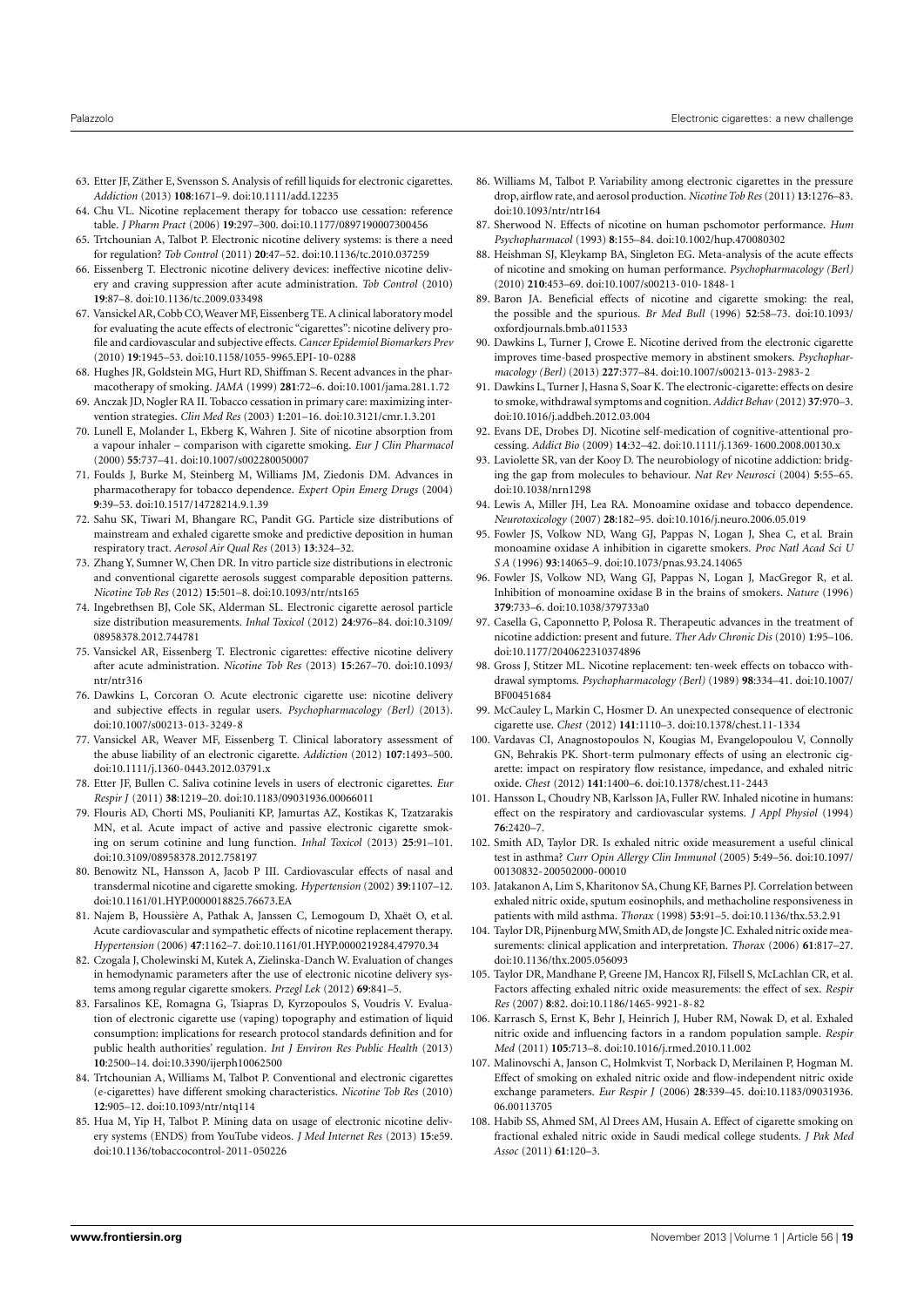- <span id="page-18-0"></span>63. Etter JF, Zäther E, Svensson S. Analysis of refill liquids for electronic cigarettes. *Addiction* (2013) **108**:1671–9. doi[:10.1111/add.12235](http://dx.doi.org/10.1111/add.12235)
- <span id="page-18-1"></span>64. Chu VL. Nicotine replacement therapy for tobacco use cessation: reference table. *J Pharm Pract* (2006) **19**:297–300. doi[:10.1177/0897190007300456](http://dx.doi.org/10.1177/0897190007300456)
- <span id="page-18-2"></span>65. Trtchounian A, Talbot P. Electronic nicotine delivery systems: is there a need for regulation? *Tob Control* (2011) **20**:47–52. doi[:10.1136/tc.2010.037259](http://dx.doi.org/10.1136/tc.2010.037259)
- <span id="page-18-3"></span>66. Eissenberg T. Electronic nicotine delivery devices: ineffective nicotine delivery and craving suppression after acute administration. *Tob Control* (2010) **19**:87–8. doi[:10.1136/tc.2009.033498](http://dx.doi.org/10.1136/tc.2009.033498)
- <span id="page-18-4"></span>67. Vansickel AR, Cobb CO, Weaver MF, Eissenberg TE. A clinical laboratory model for evaluating the acute effects of electronic "cigarettes": nicotine delivery profile and cardiovascular and subjective effects. *Cancer Epidemiol Biomarkers Prev* (2010) **19**:1945–53. doi[:10.1158/1055-9965.EPI-10-0288](http://dx.doi.org/10.1158/1055-9965.EPI-10-0288)
- <span id="page-18-5"></span>68. Hughes JR, Goldstein MG, Hurt RD, Shiffman S. Recent advances in the pharmacotherapy of smoking. *JAMA* (1999) **281**:72–6. doi[:10.1001/jama.281.1.72](http://dx.doi.org/10.1001/jama.281.1.72)
- <span id="page-18-6"></span>69. Anczak JD, Nogler RA II. Tobacco cessation in primary care: maximizing intervention strategies. *Clin Med Res* (2003) **1**:201–16. doi[:10.3121/cmr.1.3.201](http://dx.doi.org/10.3121/cmr.1.3.201)
- <span id="page-18-7"></span>70. Lunell E, Molander L, Ekberg K, Wahren J. Site of nicotine absorption from a vapour inhaler – comparison with cigarette smoking. *Eur J Clin Pharmacol* (2000) **55**:737–41. doi[:10.1007/s002280050007](http://dx.doi.org/10.1007/s002280050007)
- <span id="page-18-8"></span>71. Foulds J, Burke M, Steinberg M, Williams JM, Ziedonis DM. Advances in pharmacotherapy for tobacco dependence. *Expert Opin Emerg Drugs* (2004) **9**:39–53. doi[:10.1517/14728214.9.1.39](http://dx.doi.org/10.1517/14728214.9.1.39)
- <span id="page-18-9"></span>72. Sahu SK, Tiwari M, Bhangare RC, Pandit GG. Particle size distributions of mainstream and exhaled cigarette smoke and predictive deposition in human respiratory tract. *Aerosol Air Qual Res* (2013) **13**:324–32.
- <span id="page-18-11"></span>73. Zhang Y, Sumner W, Chen DR. In vitro particle size distributions in electronic and conventional cigarette aerosols suggest comparable deposition patterns. *Nicotine Tob Res* (2012) **15**:501–8. doi[:10.1093/ntr/nts165](http://dx.doi.org/10.1093/ntr/nts165)
- <span id="page-18-10"></span>74. Ingebrethsen BJ, Cole SK, Alderman SL. Electronic cigarette aerosol particle size distribution measurements. *Inhal Toxicol* (2012) **24**:976–84. doi[:10.3109/](http://dx.doi.org/10.3109/08958378.2012.744781) [08958378.2012.744781](http://dx.doi.org/10.3109/08958378.2012.744781)
- <span id="page-18-12"></span>75. Vansickel AR, Eissenberg T. Electronic cigarettes: effective nicotine delivery after acute administration. *Nicotine Tob Res* (2013) **15**:267–70. doi[:10.1093/](http://dx.doi.org/10.1093/ntr/ntr316) [ntr/ntr316](http://dx.doi.org/10.1093/ntr/ntr316)
- <span id="page-18-14"></span>76. Dawkins L, Corcoran O. Acute electronic cigarette use: nicotine delivery and subjective effects in regular users. *Psychopharmacology (Berl)* (2013). doi[:10.1007/s00213-013-3249-8](http://dx.doi.org/10.1007/s00213-013-3249-8)
- <span id="page-18-13"></span>77. Vansickel AR, Weaver MF, Eissenberg T. Clinical laboratory assessment of the abuse liability of an electronic cigarette. *Addiction* (2012) **107**:1493–500. doi[:10.1111/j.1360-0443.2012.03791.x](http://dx.doi.org/10.1111/j.1360-0443.2012.03791.x)
- <span id="page-18-15"></span>78. Etter JF, Bullen C. Saliva cotinine levels in users of electronic cigarettes. *Eur Respir J* (2011) **38**:1219–20. doi[:10.1183/09031936.00066011](http://dx.doi.org/10.1183/09031936.00066011)
- <span id="page-18-16"></span>79. Flouris AD, Chorti MS, Poulianiti KP, Jamurtas AZ, Kostikas K, Tzatzarakis MN, et al. Acute impact of active and passive electronic cigarette smoking on serum cotinine and lung function. *Inhal Toxicol* (2013) **25**:91–101. doi[:10.3109/08958378.2012.758197](http://dx.doi.org/10.3109/08958378.2012.758197)
- <span id="page-18-17"></span>80. Benowitz NL, Hansson A, Jacob P III. Cardiovascular effects of nasal and transdermal nicotine and cigarette smoking. *Hypertension* (2002) **39**:1107–12. doi[:10.1161/01.HYP.0000018825.76673.EA](http://dx.doi.org/10.1161/01.HYP.0000018825.76673.EA)
- <span id="page-18-18"></span>81. Najem B, Houssière A, Pathak A, Janssen C, Lemogoum D, Xhaët O, et al. Acute cardiovascular and sympathetic effects of nicotine replacement therapy. *Hypertension* (2006) **47**:1162–7. doi[:10.1161/01.HYP.0000219284.47970.34](http://dx.doi.org/10.1161/01.HYP.0000219284.47970.34)
- <span id="page-18-19"></span>82. Czogala J, Cholewinski M, Kutek A, Zielinska-Danch W. Evaluation of changes in hemodynamic parameters after the use of electronic nicotine delivery systems among regular cigarette smokers. *Przegl Lek* (2012) **69**:841–5.
- <span id="page-18-20"></span>83. Farsalinos KE, Romagna G, Tsiapras D, Kyrzopoulos S, Voudris V. Evaluation of electronic cigarette use (vaping) topography and estimation of liquid consumption: implications for research protocol standards definition and for public health authorities' regulation. *Int J Environ Res Public Health* (2013) **10**:2500–14. doi[:10.3390/ijerph10062500](http://dx.doi.org/10.3390/ijerph10062500)
- <span id="page-18-21"></span>84. Trtchounian A, Williams M, Talbot P. Conventional and electronic cigarettes (e-cigarettes) have different smoking characteristics. *Nicotine Tob Res* (2010) **12**:905–12. doi[:10.1093/ntr/ntq114](http://dx.doi.org/10.1093/ntr/ntq114)
- <span id="page-18-22"></span>85. Hua M, Yip H, Talbot P. Mining data on usage of electronic nicotine delivery systems (ENDS) from YouTube videos. *J Med Internet Res* (2013) **15**:e59. doi[:10.1136/tobaccocontrol-2011-050226](http://dx.doi.org/10.1136/tobaccocontrol-2011-050226)
- <span id="page-18-23"></span>86. Williams M, Talbot P. Variability among electronic cigarettes in the pressure drop, airflow rate, and aerosol production. *Nicotine Tob Res* (2011) **13**:1276–83. doi[:10.1093/ntr/ntr164](http://dx.doi.org/10.1093/ntr/ntr164)
- <span id="page-18-24"></span>87. Sherwood N. Effects of nicotine on human pschomotor performance. *Hum Psychopharmacol* (1993) **8**:155–84. doi[:10.1002/hup.470080302](http://dx.doi.org/10.1002/hup.470080302)
- <span id="page-18-25"></span>88. Heishman SJ, Kleykamp BA, Singleton EG. Meta-analysis of the acute effects of nicotine and smoking on human performance. *Psychopharmacology (Berl)* (2010) **210**:453–69. doi[:10.1007/s00213-010-1848-1](http://dx.doi.org/10.1007/s00213-010-1848-1)
- <span id="page-18-26"></span>89. Baron JA. Beneficial effects of nicotine and cigarette smoking: the real, the possible and the spurious. *Br Med Bull* (1996) **52**:58–73. doi[:10.1093/](http://dx.doi.org/10.1093/oxfordjournals.bmb.a011533) [oxfordjournals.bmb.a011533](http://dx.doi.org/10.1093/oxfordjournals.bmb.a011533)
- <span id="page-18-27"></span>90. Dawkins L, Turner J, Crowe E. Nicotine derived from the electronic cigarette improves time-based prospective memory in abstinent smokers. *Psychopharmacology (Berl)* (2013) **227**:377–84. doi[:10.1007/s00213-013-2983-2](http://dx.doi.org/10.1007/s00213-013-2983-2)
- <span id="page-18-28"></span>91. Dawkins L, Turner J, Hasna S, Soar K. The electronic-cigarette: effects on desire to smoke, withdrawal symptoms and cognition. *Addict Behav* (2012) **37**:970–3. doi[:10.1016/j.addbeh.2012.03.004](http://dx.doi.org/10.1016/j.addbeh.2012.03.004)
- <span id="page-18-29"></span>92. Evans DE, Drobes DJ. Nicotine self-medication of cognitive-attentional processing. *Addict Bio* (2009) **14**:32–42. doi[:10.1111/j.1369-1600.2008.00130.x](http://dx.doi.org/10.1111/j.1369-1600.2008.00130.x)
- <span id="page-18-30"></span>93. Laviolette SR, van der Kooy D. The neurobiology of nicotine addiction: bridging the gap from molecules to behaviour. *Nat Rev Neurosci* (2004) **5**:55–65. doi[:10.1038/nrn1298](http://dx.doi.org/10.1038/nrn1298)
- <span id="page-18-31"></span>94. Lewis A, Miller JH, Lea RA. Monoamine oxidase and tobacco dependence. *Neurotoxicology* (2007) **28**:182–95. doi[:10.1016/j.neuro.2006.05.019](http://dx.doi.org/10.1016/j.neuro.2006.05.019)
- <span id="page-18-32"></span>95. Fowler JS, Volkow ND, Wang GJ, Pappas N, Logan J, Shea C, et al. Brain monoamine oxidase A inhibition in cigarette smokers. *Proc Natl Acad Sci U S A* (1996) **93**:14065–9. doi[:10.1073/pnas.93.24.14065](http://dx.doi.org/10.1073/pnas.93.24.14065)
- <span id="page-18-33"></span>96. Fowler JS, Volkow ND, Wang GJ, Pappas N, Logan J, MacGregor R, et al. Inhibition of monoamine oxidase B in the brains of smokers. *Nature* (1996) **379**:733–6. doi[:10.1038/379733a0](http://dx.doi.org/10.1038/379733a0)
- <span id="page-18-34"></span>97. Casella G, Caponnetto P, Polosa R. Therapeutic advances in the treatment of nicotine addiction: present and future. *Ther Adv Chronic Dis* (2010) **1**:95–106. doi[:10.1177/2040622310374896](http://dx.doi.org/10.1177/2040622310374896)
- <span id="page-18-35"></span>98. Gross J, Stitzer ML. Nicotine replacement: ten-week effects on tobacco withdrawal symptoms. *Psychopharmacology (Berl)* (1989) **98**:334–41. doi[:10.1007/](http://dx.doi.org/10.1007/BF00451684) [BF00451684](http://dx.doi.org/10.1007/BF00451684)
- <span id="page-18-36"></span>99. McCauley L, Markin C, Hosmer D. An unexpected consequence of electronic cigarette use. *Chest* (2012) **141**:1110–3. doi[:10.1378/chest.11-1334](http://dx.doi.org/10.1378/chest.11-1334)
- <span id="page-18-37"></span>100. Vardavas CI, Anagnostopoulos N, Kougias M, Evangelopoulou V, Connolly GN, Behrakis PK. Short-term pulmonary effects of using an electronic cigarette: impact on respiratory flow resistance, impedance, and exhaled nitric oxide. *Chest* (2012) **141**:1400–6. doi[:10.1378/chest.11-2443](http://dx.doi.org/10.1378/chest.11-2443)
- <span id="page-18-38"></span>101. Hansson L, Choudry NB, Karlsson JA, Fuller RW. Inhaled nicotine in humans: effect on the respiratory and cardiovascular systems. *J Appl Physiol* (1994) **76**:2420–7.
- <span id="page-18-39"></span>102. Smith AD, Taylor DR. Is exhaled nitric oxide measurement a useful clinical test in asthma? *Curr Opin Allergy Clin Immunol* (2005) **5**:49–56. doi[:10.1097/](http://dx.doi.org/10.1097/00130832-200502000-00010) [00130832-200502000-00010](http://dx.doi.org/10.1097/00130832-200502000-00010)
- <span id="page-18-40"></span>103. Jatakanon A, Lim S, Kharitonov SA, Chung KF, Barnes PJ. Correlation between exhaled nitric oxide, sputum eosinophils, and methacholine responsiveness in patients with mild asthma. *Thorax* (1998) **53**:91–5. doi[:10.1136/thx.53.2.91](http://dx.doi.org/10.1136/thx.53.2.91)
- <span id="page-18-41"></span>104. Taylor DR, Pijnenburg MW, Smith AD, de Jongste JC. Exhaled nitric oxide measurements: clinical application and interpretation. *Thorax* (2006) **61**:817–27. doi[:10.1136/thx.2005.056093](http://dx.doi.org/10.1136/thx.2005.056093)
- <span id="page-18-42"></span>105. Taylor DR, Mandhane P, Greene JM, Hancox RJ, Filsell S, McLachlan CR, et al. Factors affecting exhaled nitric oxide measurements: the effect of sex. *Respir Res* (2007) **8**:82. doi[:10.1186/1465-9921-8-82](http://dx.doi.org/10.1186/1465-9921-8-82)
- <span id="page-18-43"></span>106. Karrasch S, Ernst K, Behr J, Heinrich J, Huber RM, Nowak D, et al. Exhaled nitric oxide and influencing factors in a random population sample. *Respir Med* (2011) **105**:713–8. doi[:10.1016/j.rmed.2010.11.002](http://dx.doi.org/10.1016/j.rmed.2010.11.002)
- 107. Malinovschi A, Janson C, Holmkvist T, Norback D, Merilainen P, Hogman M. Effect of smoking on exhaled nitric oxide and flow-independent nitric oxide exchange parameters. *Eur Respir J* (2006) **28**:339–45. doi[:10.1183/09031936.](http://dx.doi.org/10.1183/09031936.06.00113705) [06.00113705](http://dx.doi.org/10.1183/09031936.06.00113705)
- 108. Habib SS, Ahmed SM, Al Drees AM, Husain A. Effect of cigarette smoking on fractional exhaled nitric oxide in Saudi medical college students. *J Pak Med Assoc* (2011) **61**:120–3.